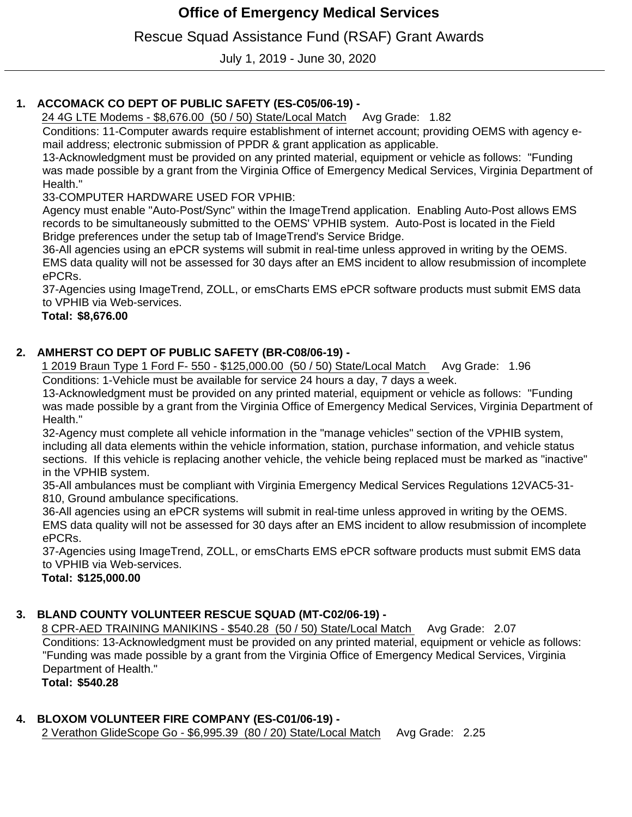Rescue Squad Assistance Fund (RSAF) Grant Awards

July 1, 2019 - June 30, 2020

# **ACCOMACK CO DEPT OF PUBLIC SAFETY (ES-C05/06-19) - 1.**

24 4G LTE Modems - \$8,676.00 (50 / 50) State/Local Match Avg Grade: 1.82

Conditions: 11-Computer awards require establishment of internet account; providing OEMS with agency email address; electronic submission of PPDR & grant application as applicable.

13-Acknowledgment must be provided on any printed material, equipment or vehicle as follows: "Funding was made possible by a grant from the Virginia Office of Emergency Medical Services, Virginia Department of Health."

33-COMPUTER HARDWARE USED FOR VPHIB:

Agency must enable "Auto-Post/Sync" within the ImageTrend application. Enabling Auto-Post allows EMS records to be simultaneously submitted to the OEMS' VPHIB system. Auto-Post is located in the Field Bridge preferences under the setup tab of ImageTrend's Service Bridge.

36-All agencies using an ePCR systems will submit in real-time unless approved in writing by the OEMS. EMS data quality will not be assessed for 30 days after an EMS incident to allow resubmission of incomplete ePCRs.

37-Agencies using ImageTrend, ZOLL, or emsCharts EMS ePCR software products must submit EMS data to VPHIB via Web-services.

 **\$8,676.00 Total:**

### **AMHERST CO DEPT OF PUBLIC SAFETY (BR-C08/06-19) - 2.**

1 2019 Braun Type 1 Ford F- 550 - \$125,000.00 (50 / 50) State/Local Match Avg Grade: 1.96 Conditions: 1-Vehicle must be available for service 24 hours a day, 7 days a week.

13-Acknowledgment must be provided on any printed material, equipment or vehicle as follows: "Funding was made possible by a grant from the Virginia Office of Emergency Medical Services, Virginia Department of Health."

32-Agency must complete all vehicle information in the "manage vehicles" section of the VPHIB system, including all data elements within the vehicle information, station, purchase information, and vehicle status sections. If this vehicle is replacing another vehicle, the vehicle being replaced must be marked as "inactive" in the VPHIB system.

35-All ambulances must be compliant with Virginia Emergency Medical Services Regulations 12VAC5-31- 810, Ground ambulance specifications.

36-All agencies using an ePCR systems will submit in real-time unless approved in writing by the OEMS. EMS data quality will not be assessed for 30 days after an EMS incident to allow resubmission of incomplete ePCRs.

37-Agencies using ImageTrend, ZOLL, or emsCharts EMS ePCR software products must submit EMS data to VPHIB via Web-services.

 **\$125,000.00 Total:**

## **BLAND COUNTY VOLUNTEER RESCUE SQUAD (MT-C02/06-19) - 3.**

8 CPR-AED TRAINING MANIKINS - \$540.28 (50 / 50) State/Local Match Avg Grade: 2.07

Conditions: 13-Acknowledgment must be provided on any printed material, equipment or vehicle as follows: "Funding was made possible by a grant from the Virginia Office of Emergency Medical Services, Virginia Department of Health."

 **\$540.28 Total:**

#### **BLOXOM VOLUNTEER FIRE COMPANY (ES-C01/06-19) - 4.**

2 Verathon GlideScope Go - \$6,995.39 (80 / 20) State/Local Match Avg Grade: 2.25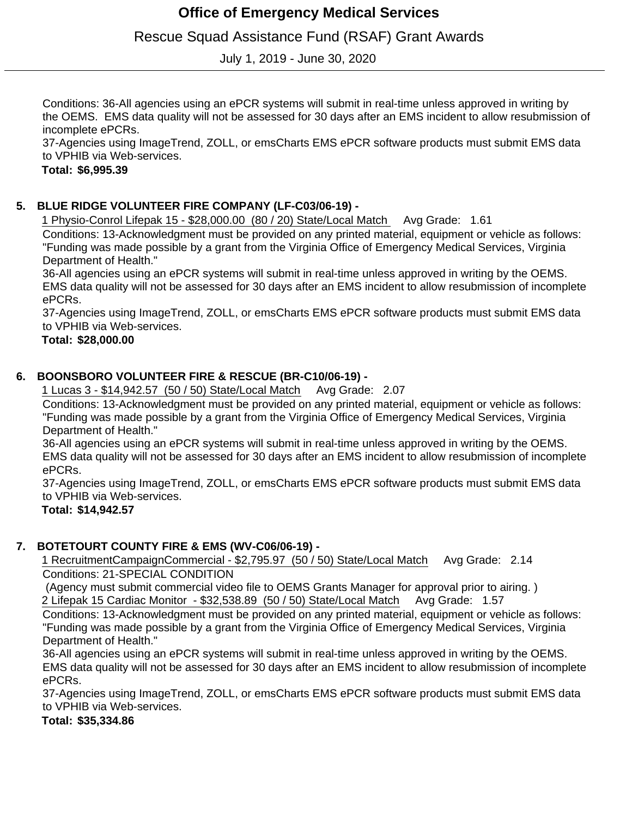Rescue Squad Assistance Fund (RSAF) Grant Awards

July 1, 2019 - June 30, 2020

Conditions: 36-All agencies using an ePCR systems will submit in real-time unless approved in writing by the OEMS. EMS data quality will not be assessed for 30 days after an EMS incident to allow resubmission of incomplete ePCRs.

37-Agencies using ImageTrend, ZOLL, or emsCharts EMS ePCR software products must submit EMS data to VPHIB via Web-services.

 **\$6,995.39 Total:**

### **BLUE RIDGE VOLUNTEER FIRE COMPANY (LF-C03/06-19) - 5.**

1 Physio-Conrol Lifepak 15 - \$28,000.00 (80 / 20) State/Local Match Avg Grade: 1.61

Conditions: 13-Acknowledgment must be provided on any printed material, equipment or vehicle as follows: "Funding was made possible by a grant from the Virginia Office of Emergency Medical Services, Virginia Department of Health."

36-All agencies using an ePCR systems will submit in real-time unless approved in writing by the OEMS. EMS data quality will not be assessed for 30 days after an EMS incident to allow resubmission of incomplete ePCRs.

37-Agencies using ImageTrend, ZOLL, or emsCharts EMS ePCR software products must submit EMS data to VPHIB via Web-services.

 **\$28,000.00 Total:**

### **BOONSBORO VOLUNTEER FIRE & RESCUE (BR-C10/06-19) - 6.**

1 Lucas 3 - \$14,942.57 (50 / 50) State/Local Match Avg Grade: 2.07

Conditions: 13-Acknowledgment must be provided on any printed material, equipment or vehicle as follows: "Funding was made possible by a grant from the Virginia Office of Emergency Medical Services, Virginia Department of Health."

36-All agencies using an ePCR systems will submit in real-time unless approved in writing by the OEMS. EMS data quality will not be assessed for 30 days after an EMS incident to allow resubmission of incomplete ePCRs.

37-Agencies using ImageTrend, ZOLL, or emsCharts EMS ePCR software products must submit EMS data to VPHIB via Web-services.

 **\$14,942.57 Total:**

### **BOTETOURT COUNTY FIRE & EMS (WV-C06/06-19) - 7.**

1 RecruitmentCampaignCommercial - \$2,795.97 (50 / 50) State/Local Match Avg Grade: 2.14 Conditions: 21-SPECIAL CONDITION

2 Lifepak 15 Cardiac Monitor - \$32,538.89 (50 / 50) State/Local Match Avg Grade: 1.57 (Agency must submit commercial video file to OEMS Grants Manager for approval prior to airing. )

Conditions: 13-Acknowledgment must be provided on any printed material, equipment or vehicle as follows: "Funding was made possible by a grant from the Virginia Office of Emergency Medical Services, Virginia Department of Health."

36-All agencies using an ePCR systems will submit in real-time unless approved in writing by the OEMS. EMS data quality will not be assessed for 30 days after an EMS incident to allow resubmission of incomplete ePCRs.

37-Agencies using ImageTrend, ZOLL, or emsCharts EMS ePCR software products must submit EMS data to VPHIB via Web-services.

 **\$35,334.86 Total:**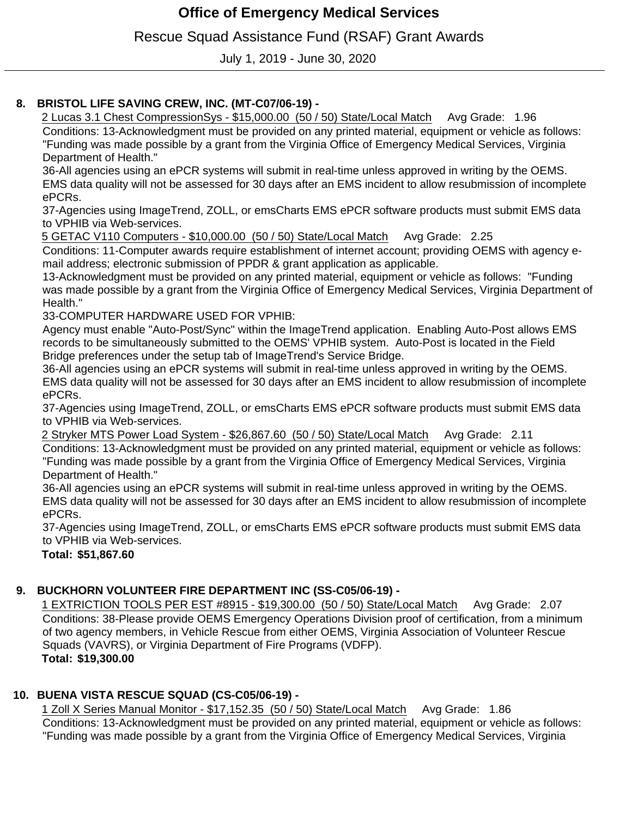Rescue Squad Assistance Fund (RSAF) Grant Awards

July 1, 2019 - June 30, 2020

## **BRISTOL LIFE SAVING CREW, INC. (MT-C07/06-19) - 8.**

2 Lucas 3.1 Chest CompressionSys - \$15,000.00 (50 / 50) State/Local Match Avg Grade: 1.96 Conditions: 13-Acknowledgment must be provided on any printed material, equipment or vehicle as follows: "Funding was made possible by a grant from the Virginia Office of Emergency Medical Services, Virginia Department of Health."

36-All agencies using an ePCR systems will submit in real-time unless approved in writing by the OEMS. EMS data quality will not be assessed for 30 days after an EMS incident to allow resubmission of incomplete ePCRs.

37-Agencies using ImageTrend, ZOLL, or emsCharts EMS ePCR software products must submit EMS data to VPHIB via Web-services.

5 GETAC V110 Computers - \$10,000.00 (50 / 50) State/Local Match Avg Grade: 2.25

Conditions: 11-Computer awards require establishment of internet account; providing OEMS with agency email address; electronic submission of PPDR & grant application as applicable.

13-Acknowledgment must be provided on any printed material, equipment or vehicle as follows: "Funding was made possible by a grant from the Virginia Office of Emergency Medical Services, Virginia Department of Health."

33-COMPUTER HARDWARE USED FOR VPHIB:

Agency must enable "Auto-Post/Sync" within the ImageTrend application. Enabling Auto-Post allows EMS records to be simultaneously submitted to the OEMS' VPHIB system. Auto-Post is located in the Field Bridge preferences under the setup tab of ImageTrend's Service Bridge.

36-All agencies using an ePCR systems will submit in real-time unless approved in writing by the OEMS. EMS data quality will not be assessed for 30 days after an EMS incident to allow resubmission of incomplete ePCRs.

37-Agencies using ImageTrend, ZOLL, or emsCharts EMS ePCR software products must submit EMS data to VPHIB via Web-services.

2 Stryker MTS Power Load System - \$26,867.60 (50 / 50) State/Local Match Avg Grade: 2.11 Conditions: 13-Acknowledgment must be provided on any printed material, equipment or vehicle as follows: "Funding was made possible by a grant from the Virginia Office of Emergency Medical Services, Virginia Department of Health."

36-All agencies using an ePCR systems will submit in real-time unless approved in writing by the OEMS. EMS data quality will not be assessed for 30 days after an EMS incident to allow resubmission of incomplete ePCRs.

37-Agencies using ImageTrend, ZOLL, or emsCharts EMS ePCR software products must submit EMS data to VPHIB via Web-services.

 **\$51,867.60 Total:**

## **BUCKHORN VOLUNTEER FIRE DEPARTMENT INC (SS-C05/06-19) - 9.**

1 EXTRICTION TOOLS PER EST #8915 - \$19,300.00 (50 / 50) State/Local Match Avg Grade: 2.07 Conditions: 38-Please provide OEMS Emergency Operations Division proof of certification, from a minimum of two agency members, in Vehicle Rescue from either OEMS, Virginia Association of Volunteer Rescue Squads (VAVRS), or Virginia Department of Fire Programs (VDFP).  **\$19,300.00 Total:**

## **BUENA VISTA RESCUE SQUAD (CS-C05/06-19) - 10.**

1 Zoll X Series Manual Monitor - \$17,152.35 (50 / 50) State/Local Match Avg Grade: 1.86 Conditions: 13-Acknowledgment must be provided on any printed material, equipment or vehicle as follows: "Funding was made possible by a grant from the Virginia Office of Emergency Medical Services, Virginia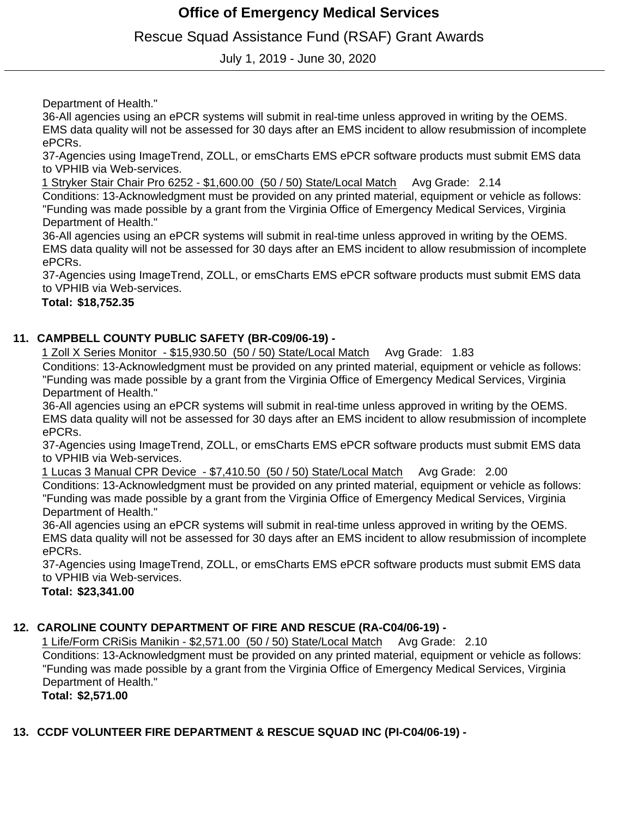# Rescue Squad Assistance Fund (RSAF) Grant Awards

July 1, 2019 - June 30, 2020

Department of Health."

36-All agencies using an ePCR systems will submit in real-time unless approved in writing by the OEMS. EMS data quality will not be assessed for 30 days after an EMS incident to allow resubmission of incomplete ePCRs.

37-Agencies using ImageTrend, ZOLL, or emsCharts EMS ePCR software products must submit EMS data to VPHIB via Web-services.

1 Stryker Stair Chair Pro 6252 - \$1,600.00 (50 / 50) State/Local Match Avg Grade: 2.14

Conditions: 13-Acknowledgment must be provided on any printed material, equipment or vehicle as follows: "Funding was made possible by a grant from the Virginia Office of Emergency Medical Services, Virginia Department of Health."

36-All agencies using an ePCR systems will submit in real-time unless approved in writing by the OEMS. EMS data quality will not be assessed for 30 days after an EMS incident to allow resubmission of incomplete ePCRs.

37-Agencies using ImageTrend, ZOLL, or emsCharts EMS ePCR software products must submit EMS data to VPHIB via Web-services.

#### **\$18,752.35 Total:**

### **CAMPBELL COUNTY PUBLIC SAFETY (BR-C09/06-19) - 11.**

1 Zoll X Series Monitor - \$15,930.50 (50 / 50) State/Local Match Avg Grade: 1.83

Conditions: 13-Acknowledgment must be provided on any printed material, equipment or vehicle as follows: "Funding was made possible by a grant from the Virginia Office of Emergency Medical Services, Virginia Department of Health."

36-All agencies using an ePCR systems will submit in real-time unless approved in writing by the OEMS. EMS data quality will not be assessed for 30 days after an EMS incident to allow resubmission of incomplete ePCRs.

37-Agencies using ImageTrend, ZOLL, or emsCharts EMS ePCR software products must submit EMS data to VPHIB via Web-services.

1 Lucas 3 Manual CPR Device - \$7,410.50 (50 / 50) State/Local Match Avg Grade: 2.00

Conditions: 13-Acknowledgment must be provided on any printed material, equipment or vehicle as follows: "Funding was made possible by a grant from the Virginia Office of Emergency Medical Services, Virginia Department of Health."

36-All agencies using an ePCR systems will submit in real-time unless approved in writing by the OEMS. EMS data quality will not be assessed for 30 days after an EMS incident to allow resubmission of incomplete ePCRs.

37-Agencies using ImageTrend, ZOLL, or emsCharts EMS ePCR software products must submit EMS data to VPHIB via Web-services.

#### **\$23,341.00 Total:**

### **CAROLINE COUNTY DEPARTMENT OF FIRE AND RESCUE (RA-C04/06-19) - 12.**

1 Life/Form CRiSis Manikin - \$2,571.00 (50 / 50) State/Local Match Avg Grade: 2.10 Conditions: 13-Acknowledgment must be provided on any printed material, equipment or vehicle as follows: "Funding was made possible by a grant from the Virginia Office of Emergency Medical Services, Virginia Department of Health."  **\$2,571.00 Total:**

### **CCDF VOLUNTEER FIRE DEPARTMENT & RESCUE SQUAD INC (PI-C04/06-19) - 13.**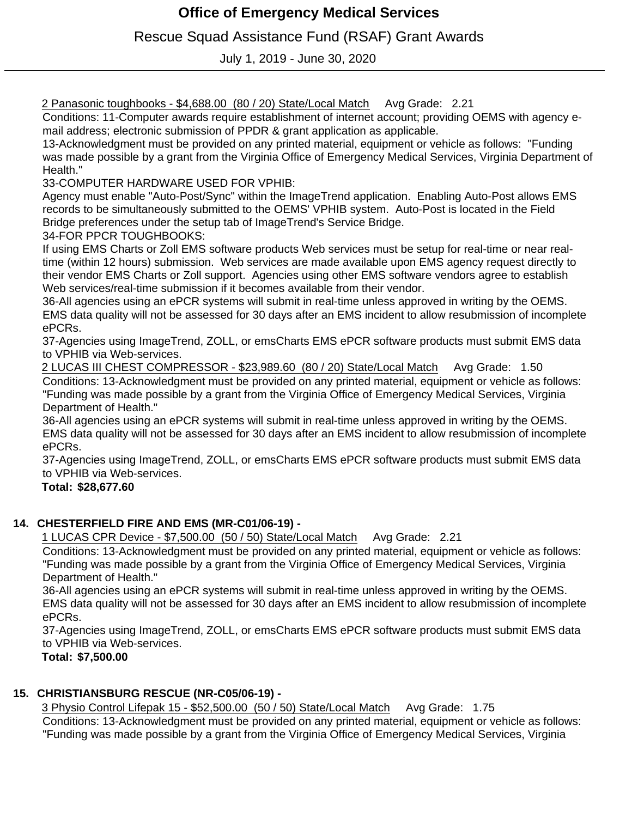# Rescue Squad Assistance Fund (RSAF) Grant Awards

July 1, 2019 - June 30, 2020

2 Panasonic toughbooks - \$4,688.00 (80 / 20) State/Local Match Avg Grade: 2.21

Conditions: 11-Computer awards require establishment of internet account; providing OEMS with agency email address; electronic submission of PPDR & grant application as applicable.

13-Acknowledgment must be provided on any printed material, equipment or vehicle as follows: "Funding was made possible by a grant from the Virginia Office of Emergency Medical Services, Virginia Department of Health."

33-COMPUTER HARDWARE USED FOR VPHIB:

Agency must enable "Auto-Post/Sync" within the ImageTrend application. Enabling Auto-Post allows EMS records to be simultaneously submitted to the OEMS' VPHIB system. Auto-Post is located in the Field Bridge preferences under the setup tab of ImageTrend's Service Bridge.

34-FOR PPCR TOUGHBOOKS:

If using EMS Charts or Zoll EMS software products Web services must be setup for real-time or near realtime (within 12 hours) submission. Web services are made available upon EMS agency request directly to their vendor EMS Charts or Zoll support. Agencies using other EMS software vendors agree to establish Web services/real-time submission if it becomes available from their vendor.

36-All agencies using an ePCR systems will submit in real-time unless approved in writing by the OEMS. EMS data quality will not be assessed for 30 days after an EMS incident to allow resubmission of incomplete ePCRs.

37-Agencies using ImageTrend, ZOLL, or emsCharts EMS ePCR software products must submit EMS data to VPHIB via Web-services.

2 LUCAS III CHEST COMPRESSOR - \$23,989.60 (80 / 20) State/Local Match Avg Grade: 1.50 Conditions: 13-Acknowledgment must be provided on any printed material, equipment or vehicle as follows: "Funding was made possible by a grant from the Virginia Office of Emergency Medical Services, Virginia Department of Health."

36-All agencies using an ePCR systems will submit in real-time unless approved in writing by the OEMS. EMS data quality will not be assessed for 30 days after an EMS incident to allow resubmission of incomplete ePCRs.

37-Agencies using ImageTrend, ZOLL, or emsCharts EMS ePCR software products must submit EMS data to VPHIB via Web-services.

### **\$28,677.60 Total:**

### **CHESTERFIELD FIRE AND EMS (MR-C01/06-19) - 14.**

1 LUCAS CPR Device - \$7,500.00 (50 / 50) State/Local Match Avg Grade: 2.21 Conditions: 13-Acknowledgment must be provided on any printed material, equipment or vehicle as follows: "Funding was made possible by a grant from the Virginia Office of Emergency Medical Services, Virginia Department of Health."

36-All agencies using an ePCR systems will submit in real-time unless approved in writing by the OEMS. EMS data quality will not be assessed for 30 days after an EMS incident to allow resubmission of incomplete ePCRs.

37-Agencies using ImageTrend, ZOLL, or emsCharts EMS ePCR software products must submit EMS data to VPHIB via Web-services.

 **\$7,500.00 Total:**

### **CHRISTIANSBURG RESCUE (NR-C05/06-19) - 15.**

3 Physio Control Lifepak 15 - \$52,500.00 (50 / 50) State/Local Match Avg Grade: 1.75 Conditions: 13-Acknowledgment must be provided on any printed material, equipment or vehicle as follows: "Funding was made possible by a grant from the Virginia Office of Emergency Medical Services, Virginia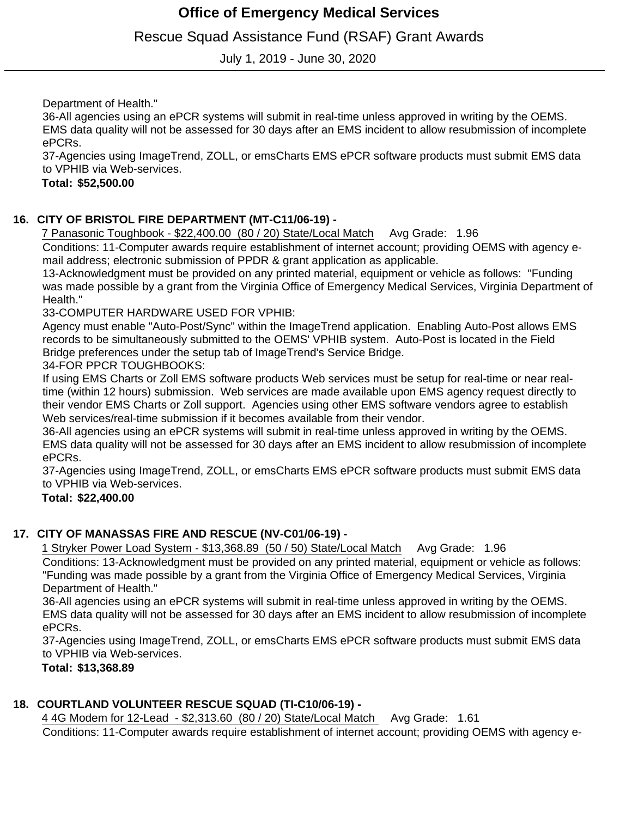# Rescue Squad Assistance Fund (RSAF) Grant Awards

July 1, 2019 - June 30, 2020

Department of Health."

36-All agencies using an ePCR systems will submit in real-time unless approved in writing by the OEMS. EMS data quality will not be assessed for 30 days after an EMS incident to allow resubmission of incomplete ePCRs.

37-Agencies using ImageTrend, ZOLL, or emsCharts EMS ePCR software products must submit EMS data to VPHIB via Web-services.

#### **\$52,500.00 Total:**

### **CITY OF BRISTOL FIRE DEPARTMENT (MT-C11/06-19) - 16.**

7 Panasonic Toughbook - \$22,400.00 (80 / 20) State/Local Match Avg Grade: 1.96

Conditions: 11-Computer awards require establishment of internet account; providing OEMS with agency email address; electronic submission of PPDR & grant application as applicable.

13-Acknowledgment must be provided on any printed material, equipment or vehicle as follows: "Funding was made possible by a grant from the Virginia Office of Emergency Medical Services, Virginia Department of Health."

33-COMPUTER HARDWARE USED FOR VPHIB:

Agency must enable "Auto-Post/Sync" within the ImageTrend application. Enabling Auto-Post allows EMS records to be simultaneously submitted to the OEMS' VPHIB system. Auto-Post is located in the Field Bridge preferences under the setup tab of ImageTrend's Service Bridge.

34-FOR PPCR TOUGHBOOKS:

If using EMS Charts or Zoll EMS software products Web services must be setup for real-time or near realtime (within 12 hours) submission. Web services are made available upon EMS agency request directly to their vendor EMS Charts or Zoll support. Agencies using other EMS software vendors agree to establish Web services/real-time submission if it becomes available from their vendor.

36-All agencies using an ePCR systems will submit in real-time unless approved in writing by the OEMS. EMS data quality will not be assessed for 30 days after an EMS incident to allow resubmission of incomplete ePCRs.

37-Agencies using ImageTrend, ZOLL, or emsCharts EMS ePCR software products must submit EMS data to VPHIB via Web-services.

 **\$22,400.00 Total:**

### **CITY OF MANASSAS FIRE AND RESCUE (NV-C01/06-19) - 17.**

1 Stryker Power Load System - \$13,368.89 (50 / 50) State/Local Match Avg Grade: 1.96 Conditions: 13-Acknowledgment must be provided on any printed material, equipment or vehicle as follows: "Funding was made possible by a grant from the Virginia Office of Emergency Medical Services, Virginia Department of Health."

36-All agencies using an ePCR systems will submit in real-time unless approved in writing by the OEMS. EMS data quality will not be assessed for 30 days after an EMS incident to allow resubmission of incomplete ePCRs.

37-Agencies using ImageTrend, ZOLL, or emsCharts EMS ePCR software products must submit EMS data to VPHIB via Web-services.

 **\$13,368.89 Total:**

## **COURTLAND VOLUNTEER RESCUE SQUAD (TI-C10/06-19) - 18.**

4 4G Modem for 12-Lead - \$2,313.60 (80 / 20) State/Local Match Avg Grade: 1.61

Conditions: 11-Computer awards require establishment of internet account; providing OEMS with agency e-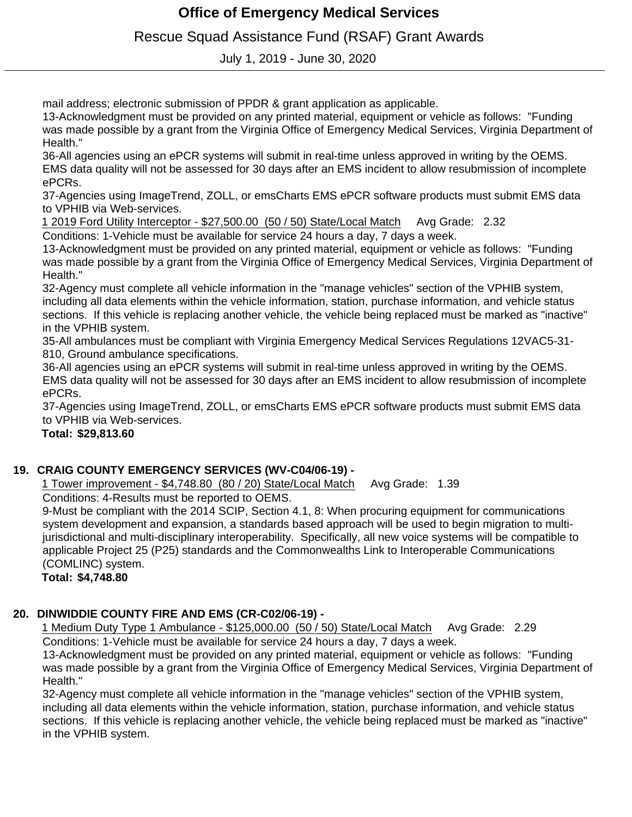Rescue Squad Assistance Fund (RSAF) Grant Awards

July 1, 2019 - June 30, 2020

mail address; electronic submission of PPDR & grant application as applicable.

13-Acknowledgment must be provided on any printed material, equipment or vehicle as follows: "Funding was made possible by a grant from the Virginia Office of Emergency Medical Services, Virginia Department of Health."

36-All agencies using an ePCR systems will submit in real-time unless approved in writing by the OEMS. EMS data quality will not be assessed for 30 days after an EMS incident to allow resubmission of incomplete ePCRs.

37-Agencies using ImageTrend, ZOLL, or emsCharts EMS ePCR software products must submit EMS data to VPHIB via Web-services.

1 2019 Ford Utility Interceptor - \$27,500.00 (50 / 50) State/Local Match Avg Grade: 2.32

Conditions: 1-Vehicle must be available for service 24 hours a day, 7 days a week.

13-Acknowledgment must be provided on any printed material, equipment or vehicle as follows: "Funding was made possible by a grant from the Virginia Office of Emergency Medical Services, Virginia Department of Health."

32-Agency must complete all vehicle information in the "manage vehicles" section of the VPHIB system, including all data elements within the vehicle information, station, purchase information, and vehicle status sections. If this vehicle is replacing another vehicle, the vehicle being replaced must be marked as "inactive" in the VPHIB system.

35-All ambulances must be compliant with Virginia Emergency Medical Services Regulations 12VAC5-31- 810, Ground ambulance specifications.

36-All agencies using an ePCR systems will submit in real-time unless approved in writing by the OEMS. EMS data quality will not be assessed for 30 days after an EMS incident to allow resubmission of incomplete ePCRs.

37-Agencies using ImageTrend, ZOLL, or emsCharts EMS ePCR software products must submit EMS data to VPHIB via Web-services.

 **\$29,813.60 Total:**

### **CRAIG COUNTY EMERGENCY SERVICES (WV-C04/06-19) - 19.**

1 Tower improvement - \$4,748.80 (80 / 20) State/Local Match Avg Grade: 1.39

Conditions: 4-Results must be reported to OEMS.

9-Must be compliant with the 2014 SCIP, Section 4.1, 8: When procuring equipment for communications system development and expansion, a standards based approach will be used to begin migration to multijurisdictional and multi-disciplinary interoperability. Specifically, all new voice systems will be compatible to applicable Project 25 (P25) standards and the Commonwealths Link to Interoperable Communications (COMLINC) system.

 **\$4,748.80 Total:**

### **DINWIDDIE COUNTY FIRE AND EMS (CR-C02/06-19) - 20.**

1 Medium Duty Type 1 Ambulance - \$125,000.00 (50 / 50) State/Local Match Avg Grade: 2.29

Conditions: 1-Vehicle must be available for service 24 hours a day, 7 days a week.

13-Acknowledgment must be provided on any printed material, equipment or vehicle as follows: "Funding was made possible by a grant from the Virginia Office of Emergency Medical Services, Virginia Department of Health."

32-Agency must complete all vehicle information in the "manage vehicles" section of the VPHIB system, including all data elements within the vehicle information, station, purchase information, and vehicle status sections. If this vehicle is replacing another vehicle, the vehicle being replaced must be marked as "inactive" in the VPHIB system.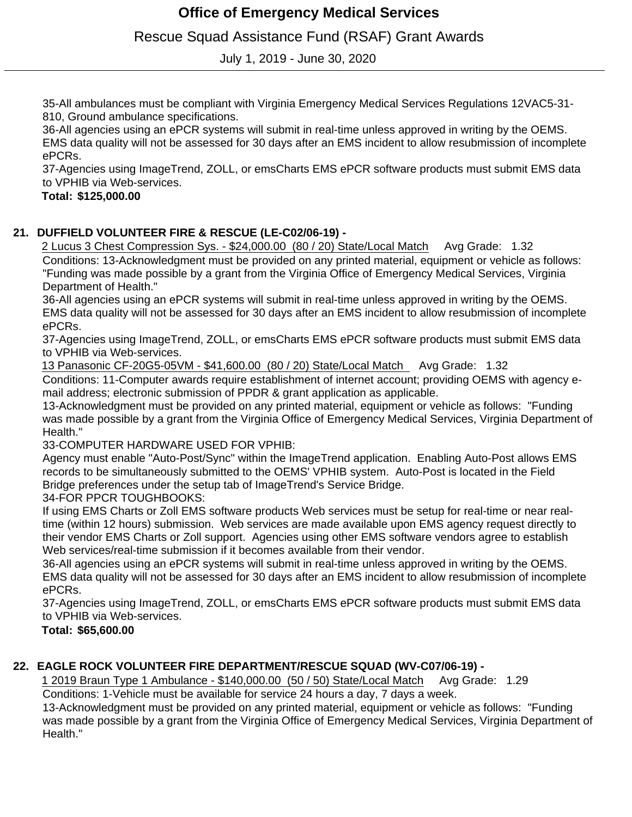Rescue Squad Assistance Fund (RSAF) Grant Awards

July 1, 2019 - June 30, 2020

35-All ambulances must be compliant with Virginia Emergency Medical Services Regulations 12VAC5-31- 810, Ground ambulance specifications.

36-All agencies using an ePCR systems will submit in real-time unless approved in writing by the OEMS. EMS data quality will not be assessed for 30 days after an EMS incident to allow resubmission of incomplete ePCRs.

37-Agencies using ImageTrend, ZOLL, or emsCharts EMS ePCR software products must submit EMS data to VPHIB via Web-services.

#### **\$125,000.00 Total:**

### **DUFFIELD VOLUNTEER FIRE & RESCUE (LE-C02/06-19) - 21.**

2 Lucus 3 Chest Compression Sys. - \$24,000.00 (80 / 20) State/Local Match Avg Grade: 1.32 Conditions: 13-Acknowledgment must be provided on any printed material, equipment or vehicle as follows: "Funding was made possible by a grant from the Virginia Office of Emergency Medical Services, Virginia Department of Health."

36-All agencies using an ePCR systems will submit in real-time unless approved in writing by the OEMS. EMS data quality will not be assessed for 30 days after an EMS incident to allow resubmission of incomplete ePCRs.

37-Agencies using ImageTrend, ZOLL, or emsCharts EMS ePCR software products must submit EMS data to VPHIB via Web-services.

13 Panasonic CF-20G5-05VM - \$41,600.00 (80 / 20) State/Local Match Avg Grade: 1.32

Conditions: 11-Computer awards require establishment of internet account; providing OEMS with agency email address; electronic submission of PPDR & grant application as applicable.

13-Acknowledgment must be provided on any printed material, equipment or vehicle as follows: "Funding was made possible by a grant from the Virginia Office of Emergency Medical Services, Virginia Department of Health."

33-COMPUTER HARDWARE USED FOR VPHIB:

Agency must enable "Auto-Post/Sync" within the ImageTrend application. Enabling Auto-Post allows EMS records to be simultaneously submitted to the OEMS' VPHIB system. Auto-Post is located in the Field Bridge preferences under the setup tab of ImageTrend's Service Bridge.

34-FOR PPCR TOUGHBOOKS:

If using EMS Charts or Zoll EMS software products Web services must be setup for real-time or near realtime (within 12 hours) submission. Web services are made available upon EMS agency request directly to their vendor EMS Charts or Zoll support. Agencies using other EMS software vendors agree to establish Web services/real-time submission if it becomes available from their vendor.

36-All agencies using an ePCR systems will submit in real-time unless approved in writing by the OEMS. EMS data quality will not be assessed for 30 days after an EMS incident to allow resubmission of incomplete ePCRs.

37-Agencies using ImageTrend, ZOLL, or emsCharts EMS ePCR software products must submit EMS data to VPHIB via Web-services.

 **\$65,600.00 Total:**

### **EAGLE ROCK VOLUNTEER FIRE DEPARTMENT/RESCUE SQUAD (WV-C07/06-19) - 22.**

1 2019 Braun Type 1 Ambulance - \$140,000.00 (50 / 50) State/Local Match Avg Grade: 1.29

Conditions: 1-Vehicle must be available for service 24 hours a day, 7 days a week.

13-Acknowledgment must be provided on any printed material, equipment or vehicle as follows: "Funding was made possible by a grant from the Virginia Office of Emergency Medical Services, Virginia Department of Health."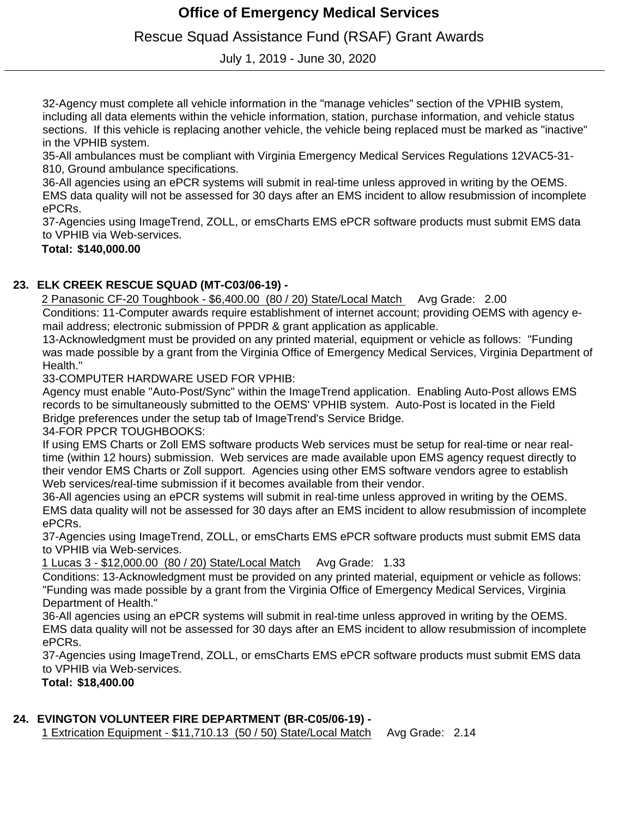Rescue Squad Assistance Fund (RSAF) Grant Awards

July 1, 2019 - June 30, 2020

32-Agency must complete all vehicle information in the "manage vehicles" section of the VPHIB system, including all data elements within the vehicle information, station, purchase information, and vehicle status sections. If this vehicle is replacing another vehicle, the vehicle being replaced must be marked as "inactive" in the VPHIB system.

35-All ambulances must be compliant with Virginia Emergency Medical Services Regulations 12VAC5-31- 810, Ground ambulance specifications.

36-All agencies using an ePCR systems will submit in real-time unless approved in writing by the OEMS. EMS data quality will not be assessed for 30 days after an EMS incident to allow resubmission of incomplete ePCRs.

37-Agencies using ImageTrend, ZOLL, or emsCharts EMS ePCR software products must submit EMS data to VPHIB via Web-services.

 **\$140,000.00 Total:**

### **ELK CREEK RESCUE SQUAD (MT-C03/06-19) - 23.**

2 Panasonic CF-20 Toughbook - \$6,400.00 (80 / 20) State/Local Match Avg Grade: 2.00 Conditions: 11-Computer awards require establishment of internet account; providing OEMS with agency email address; electronic submission of PPDR & grant application as applicable.

13-Acknowledgment must be provided on any printed material, equipment or vehicle as follows: "Funding was made possible by a grant from the Virginia Office of Emergency Medical Services, Virginia Department of Health."

33-COMPUTER HARDWARE USED FOR VPHIB:

Agency must enable "Auto-Post/Sync" within the ImageTrend application. Enabling Auto-Post allows EMS records to be simultaneously submitted to the OEMS' VPHIB system. Auto-Post is located in the Field Bridge preferences under the setup tab of ImageTrend's Service Bridge.

34-FOR PPCR TOUGHBOOKS:

If using EMS Charts or Zoll EMS software products Web services must be setup for real-time or near realtime (within 12 hours) submission. Web services are made available upon EMS agency request directly to their vendor EMS Charts or Zoll support. Agencies using other EMS software vendors agree to establish Web services/real-time submission if it becomes available from their vendor.

36-All agencies using an ePCR systems will submit in real-time unless approved in writing by the OEMS. EMS data quality will not be assessed for 30 days after an EMS incident to allow resubmission of incomplete ePCRs.

37-Agencies using ImageTrend, ZOLL, or emsCharts EMS ePCR software products must submit EMS data to VPHIB via Web-services.

1 Lucas 3 - \$12,000.00 (80 / 20) State/Local Match Avg Grade: 1.33

Conditions: 13-Acknowledgment must be provided on any printed material, equipment or vehicle as follows: "Funding was made possible by a grant from the Virginia Office of Emergency Medical Services, Virginia Department of Health."

36-All agencies using an ePCR systems will submit in real-time unless approved in writing by the OEMS. EMS data quality will not be assessed for 30 days after an EMS incident to allow resubmission of incomplete ePCRs.

37-Agencies using ImageTrend, ZOLL, or emsCharts EMS ePCR software products must submit EMS data to VPHIB via Web-services.

 **\$18,400.00 Total:**

### **EVINGTON VOLUNTEER FIRE DEPARTMENT (BR-C05/06-19) - 24.**

1 Extrication Equipment - \$11,710.13 (50 / 50) State/Local Match Avg Grade: 2.14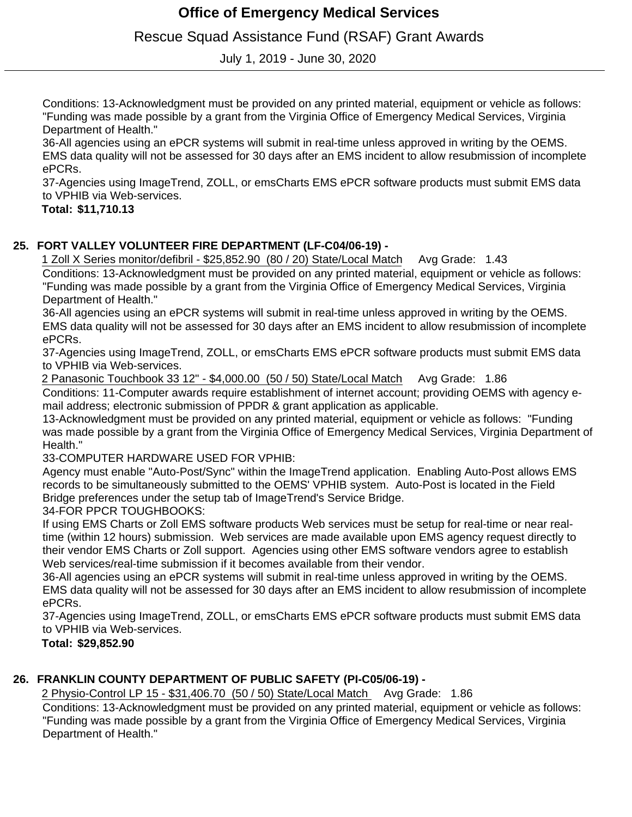Rescue Squad Assistance Fund (RSAF) Grant Awards

July 1, 2019 - June 30, 2020

Conditions: 13-Acknowledgment must be provided on any printed material, equipment or vehicle as follows: "Funding was made possible by a grant from the Virginia Office of Emergency Medical Services, Virginia Department of Health."

36-All agencies using an ePCR systems will submit in real-time unless approved in writing by the OEMS. EMS data quality will not be assessed for 30 days after an EMS incident to allow resubmission of incomplete ePCRs.

37-Agencies using ImageTrend, ZOLL, or emsCharts EMS ePCR software products must submit EMS data to VPHIB via Web-services.

 **\$11,710.13 Total:**

### **FORT VALLEY VOLUNTEER FIRE DEPARTMENT (LF-C04/06-19) - 25.**

1 Zoll X Series monitor/defibril - \$25,852.90 (80 / 20) State/Local Match Avg Grade: 1.43 Conditions: 13-Acknowledgment must be provided on any printed material, equipment or vehicle as follows: "Funding was made possible by a grant from the Virginia Office of Emergency Medical Services, Virginia Department of Health."

36-All agencies using an ePCR systems will submit in real-time unless approved in writing by the OEMS. EMS data quality will not be assessed for 30 days after an EMS incident to allow resubmission of incomplete ePCRs.

37-Agencies using ImageTrend, ZOLL, or emsCharts EMS ePCR software products must submit EMS data to VPHIB via Web-services.

2 Panasonic Touchbook 33 12" - \$4,000.00 (50 / 50) State/Local Match Avg Grade: 1.86 Conditions: 11-Computer awards require establishment of internet account; providing OEMS with agency email address; electronic submission of PPDR & grant application as applicable.

13-Acknowledgment must be provided on any printed material, equipment or vehicle as follows: "Funding was made possible by a grant from the Virginia Office of Emergency Medical Services, Virginia Department of Health."

33-COMPUTER HARDWARE USED FOR VPHIB:

Agency must enable "Auto-Post/Sync" within the ImageTrend application. Enabling Auto-Post allows EMS records to be simultaneously submitted to the OEMS' VPHIB system. Auto-Post is located in the Field Bridge preferences under the setup tab of ImageTrend's Service Bridge.

34-FOR PPCR TOUGHBOOKS:

If using EMS Charts or Zoll EMS software products Web services must be setup for real-time or near realtime (within 12 hours) submission. Web services are made available upon EMS agency request directly to their vendor EMS Charts or Zoll support. Agencies using other EMS software vendors agree to establish Web services/real-time submission if it becomes available from their vendor.

36-All agencies using an ePCR systems will submit in real-time unless approved in writing by the OEMS. EMS data quality will not be assessed for 30 days after an EMS incident to allow resubmission of incomplete ePCRs.

37-Agencies using ImageTrend, ZOLL, or emsCharts EMS ePCR software products must submit EMS data to VPHIB via Web-services.

 **\$29,852.90 Total:**

### **FRANKLIN COUNTY DEPARTMENT OF PUBLIC SAFETY (PI-C05/06-19) - 26.**

2 Physio-Control LP 15 - \$31,406.70 (50 / 50) State/Local Match Avg Grade: 1.86

Conditions: 13-Acknowledgment must be provided on any printed material, equipment or vehicle as follows: "Funding was made possible by a grant from the Virginia Office of Emergency Medical Services, Virginia Department of Health."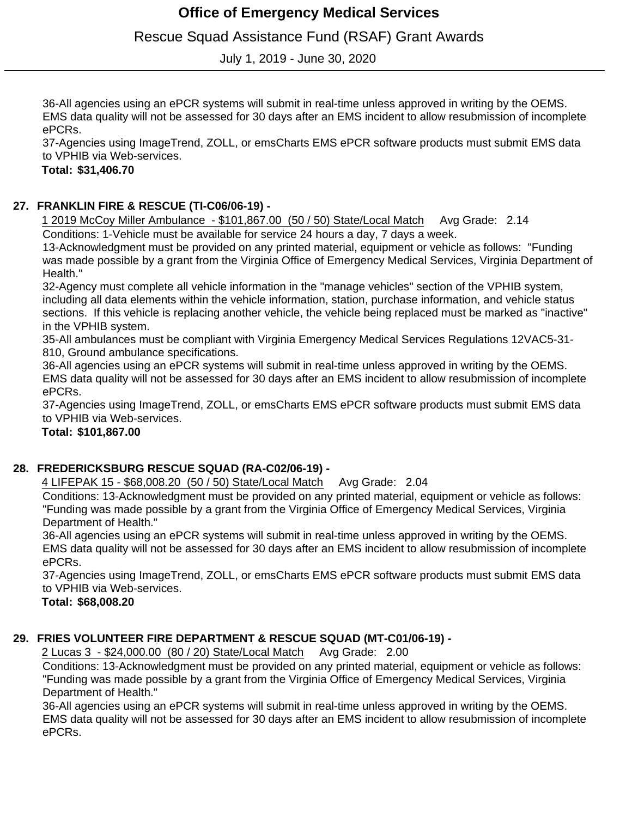Rescue Squad Assistance Fund (RSAF) Grant Awards

July 1, 2019 - June 30, 2020

36-All agencies using an ePCR systems will submit in real-time unless approved in writing by the OEMS. EMS data quality will not be assessed for 30 days after an EMS incident to allow resubmission of incomplete ePCRs.

37-Agencies using ImageTrend, ZOLL, or emsCharts EMS ePCR software products must submit EMS data to VPHIB via Web-services.

 **\$31,406.70 Total:**

### **FRANKLIN FIRE & RESCUE (TI-C06/06-19) - 27.**

1 2019 McCoy Miller Ambulance - \$101,867.00 (50 / 50) State/Local Match Avg Grade: 2.14 Conditions: 1-Vehicle must be available for service 24 hours a day, 7 days a week.

13-Acknowledgment must be provided on any printed material, equipment or vehicle as follows: "Funding was made possible by a grant from the Virginia Office of Emergency Medical Services, Virginia Department of Health."

32-Agency must complete all vehicle information in the "manage vehicles" section of the VPHIB system, including all data elements within the vehicle information, station, purchase information, and vehicle status sections. If this vehicle is replacing another vehicle, the vehicle being replaced must be marked as "inactive" in the VPHIB system.

35-All ambulances must be compliant with Virginia Emergency Medical Services Regulations 12VAC5-31- 810, Ground ambulance specifications.

36-All agencies using an ePCR systems will submit in real-time unless approved in writing by the OEMS. EMS data quality will not be assessed for 30 days after an EMS incident to allow resubmission of incomplete ePCRs.

37-Agencies using ImageTrend, ZOLL, or emsCharts EMS ePCR software products must submit EMS data to VPHIB via Web-services.

#### **\$101,867.00 Total:**

### **FREDERICKSBURG RESCUE SQUAD (RA-C02/06-19) - 28.**

4 LIFEPAK 15 - \$68,008.20 (50 / 50) State/Local Match Avg Grade: 2.04

Conditions: 13-Acknowledgment must be provided on any printed material, equipment or vehicle as follows: "Funding was made possible by a grant from the Virginia Office of Emergency Medical Services, Virginia Department of Health."

36-All agencies using an ePCR systems will submit in real-time unless approved in writing by the OEMS. EMS data quality will not be assessed for 30 days after an EMS incident to allow resubmission of incomplete ePCRs.

37-Agencies using ImageTrend, ZOLL, or emsCharts EMS ePCR software products must submit EMS data to VPHIB via Web-services.

 **\$68,008.20 Total:**

### **FRIES VOLUNTEER FIRE DEPARTMENT & RESCUE SQUAD (MT-C01/06-19) - 29.**

2 Lucas 3 - \$24,000.00 (80 / 20) State/Local Match Avg Grade: 2.00

Conditions: 13-Acknowledgment must be provided on any printed material, equipment or vehicle as follows: "Funding was made possible by a grant from the Virginia Office of Emergency Medical Services, Virginia Department of Health."

36-All agencies using an ePCR systems will submit in real-time unless approved in writing by the OEMS. EMS data quality will not be assessed for 30 days after an EMS incident to allow resubmission of incomplete ePCRs.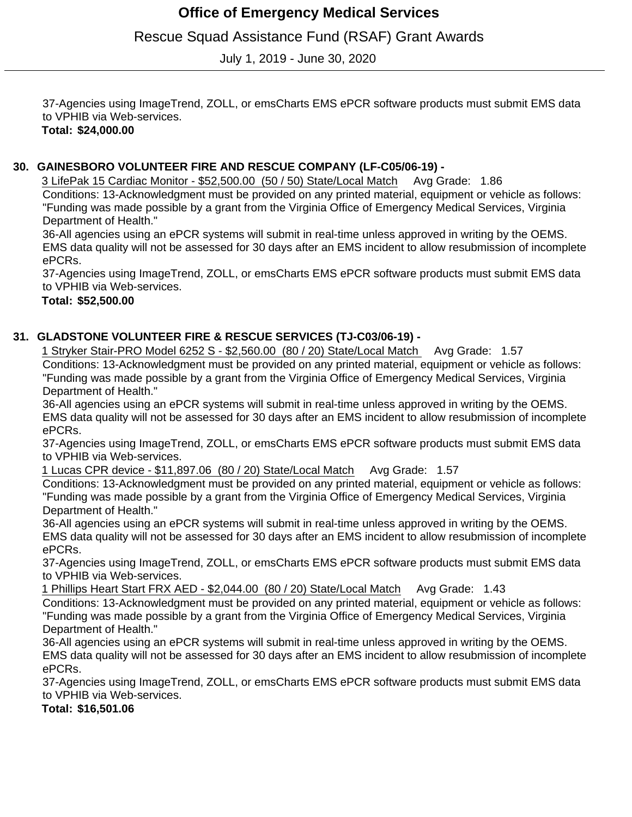Rescue Squad Assistance Fund (RSAF) Grant Awards

July 1, 2019 - June 30, 2020

37-Agencies using ImageTrend, ZOLL, or emsCharts EMS ePCR software products must submit EMS data to VPHIB via Web-services.

## **\$24,000.00 Total:**

### **GAINESBORO VOLUNTEER FIRE AND RESCUE COMPANY (LF-C05/06-19) - 30.**

3 LifePak 15 Cardiac Monitor - \$52,500.00 (50 / 50) State/Local Match Avg Grade: 1.86 Conditions: 13-Acknowledgment must be provided on any printed material, equipment or vehicle as follows: "Funding was made possible by a grant from the Virginia Office of Emergency Medical Services, Virginia Department of Health."

36-All agencies using an ePCR systems will submit in real-time unless approved in writing by the OEMS. EMS data quality will not be assessed for 30 days after an EMS incident to allow resubmission of incomplete ePCRs.

37-Agencies using ImageTrend, ZOLL, or emsCharts EMS ePCR software products must submit EMS data to VPHIB via Web-services.

 **\$52,500.00 Total:**

### **GLADSTONE VOLUNTEER FIRE & RESCUE SERVICES (TJ-C03/06-19) - 31.**

1 Stryker Stair-PRO Model 6252 S - \$2,560.00 (80 / 20) State/Local Match Avg Grade: 1.57 Conditions: 13-Acknowledgment must be provided on any printed material, equipment or vehicle as follows: "Funding was made possible by a grant from the Virginia Office of Emergency Medical Services, Virginia Department of Health."

36-All agencies using an ePCR systems will submit in real-time unless approved in writing by the OEMS. EMS data quality will not be assessed for 30 days after an EMS incident to allow resubmission of incomplete ePCRs.

37-Agencies using ImageTrend, ZOLL, or emsCharts EMS ePCR software products must submit EMS data to VPHIB via Web-services.

1 Lucas CPR device - \$11,897.06 (80 / 20) State/Local Match Avg Grade: 1.57

Conditions: 13-Acknowledgment must be provided on any printed material, equipment or vehicle as follows: "Funding was made possible by a grant from the Virginia Office of Emergency Medical Services, Virginia Department of Health."

36-All agencies using an ePCR systems will submit in real-time unless approved in writing by the OEMS. EMS data quality will not be assessed for 30 days after an EMS incident to allow resubmission of incomplete ePCRs.

37-Agencies using ImageTrend, ZOLL, or emsCharts EMS ePCR software products must submit EMS data to VPHIB via Web-services.

1 Phillips Heart Start FRX AED - \$2,044.00 (80 / 20) State/Local Match Avg Grade: 1.43 Conditions: 13-Acknowledgment must be provided on any printed material, equipment or vehicle as follows: "Funding was made possible by a grant from the Virginia Office of Emergency Medical Services, Virginia Department of Health."

36-All agencies using an ePCR systems will submit in real-time unless approved in writing by the OEMS. EMS data quality will not be assessed for 30 days after an EMS incident to allow resubmission of incomplete ePCRs.

37-Agencies using ImageTrend, ZOLL, or emsCharts EMS ePCR software products must submit EMS data to VPHIB via Web-services.

 **\$16,501.06 Total:**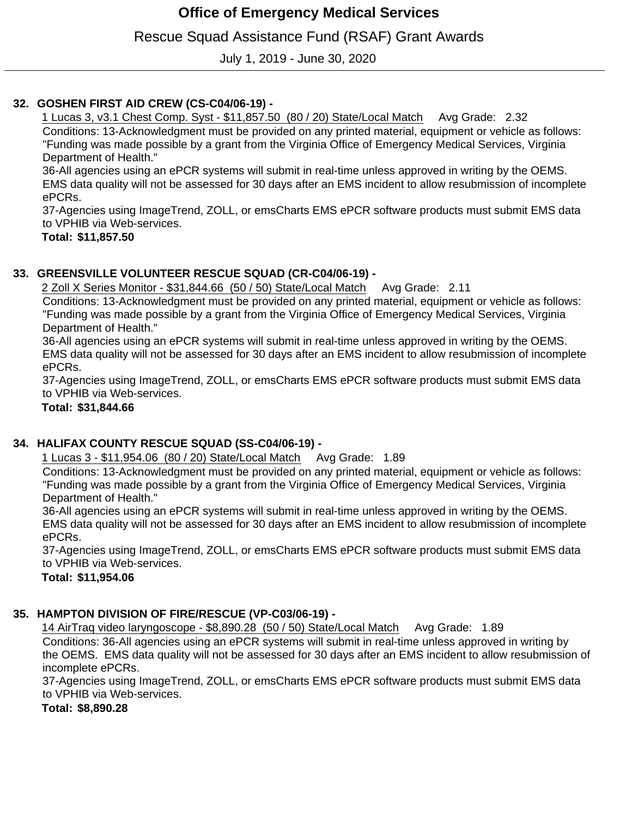# Rescue Squad Assistance Fund (RSAF) Grant Awards

July 1, 2019 - June 30, 2020

### **GOSHEN FIRST AID CREW (CS-C04/06-19) - 32.**

1 Lucas 3, v3.1 Chest Comp. Syst - \$11,857.50 (80 / 20) State/Local Match Avg Grade: 2.32 Conditions: 13-Acknowledgment must be provided on any printed material, equipment or vehicle as follows: "Funding was made possible by a grant from the Virginia Office of Emergency Medical Services, Virginia Department of Health."

36-All agencies using an ePCR systems will submit in real-time unless approved in writing by the OEMS. EMS data quality will not be assessed for 30 days after an EMS incident to allow resubmission of incomplete ePCRs.

37-Agencies using ImageTrend, ZOLL, or emsCharts EMS ePCR software products must submit EMS data to VPHIB via Web-services.

 **\$11,857.50 Total:**

### **GREENSVILLE VOLUNTEER RESCUE SQUAD (CR-C04/06-19) - 33.**

2 Zoll X Series Monitor - \$31,844.66 (50 / 50) State/Local Match Avg Grade: 2.11

Conditions: 13-Acknowledgment must be provided on any printed material, equipment or vehicle as follows: "Funding was made possible by a grant from the Virginia Office of Emergency Medical Services, Virginia Department of Health."

36-All agencies using an ePCR systems will submit in real-time unless approved in writing by the OEMS. EMS data quality will not be assessed for 30 days after an EMS incident to allow resubmission of incomplete ePCRs.

37-Agencies using ImageTrend, ZOLL, or emsCharts EMS ePCR software products must submit EMS data to VPHIB via Web-services.

 **\$31,844.66 Total:**

### **HALIFAX COUNTY RESCUE SQUAD (SS-C04/06-19) - 34.**

1 Lucas 3 - \$11,954.06 (80 / 20) State/Local Match Avg Grade: 1.89

Conditions: 13-Acknowledgment must be provided on any printed material, equipment or vehicle as follows: "Funding was made possible by a grant from the Virginia Office of Emergency Medical Services, Virginia Department of Health."

36-All agencies using an ePCR systems will submit in real-time unless approved in writing by the OEMS. EMS data quality will not be assessed for 30 days after an EMS incident to allow resubmission of incomplete ePCRs.

37-Agencies using ImageTrend, ZOLL, or emsCharts EMS ePCR software products must submit EMS data to VPHIB via Web-services.

 **\$11,954.06 Total:**

## **HAMPTON DIVISION OF FIRE/RESCUE (VP-C03/06-19) - 35.**

14 AirTraq video laryngoscope - \$8,890.28 (50 / 50) State/Local Match Avg Grade: 1.89

Conditions: 36-All agencies using an ePCR systems will submit in real-time unless approved in writing by the OEMS. EMS data quality will not be assessed for 30 days after an EMS incident to allow resubmission of incomplete ePCRs.

37-Agencies using ImageTrend, ZOLL, or emsCharts EMS ePCR software products must submit EMS data to VPHIB via Web-services.

 **\$8,890.28 Total:**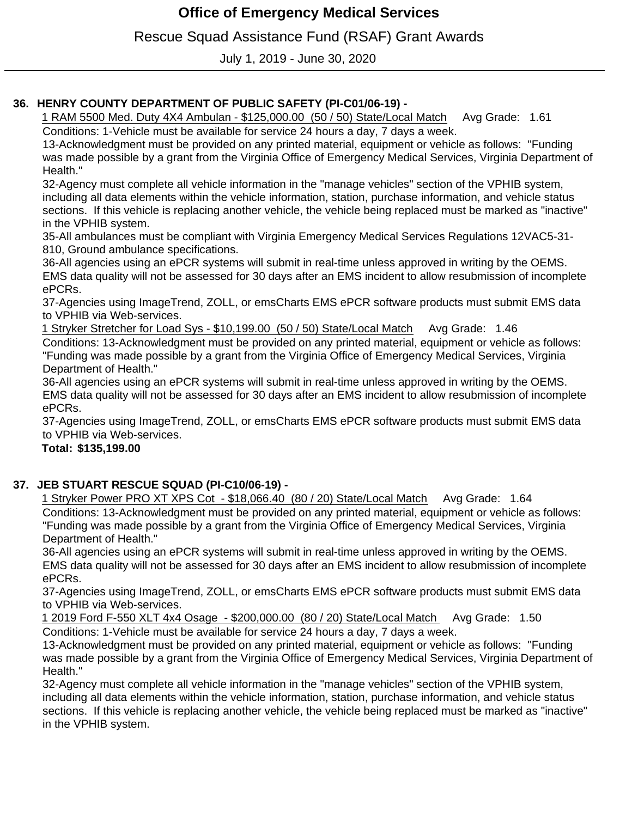Rescue Squad Assistance Fund (RSAF) Grant Awards

July 1, 2019 - June 30, 2020

## **HENRY COUNTY DEPARTMENT OF PUBLIC SAFETY (PI-C01/06-19) - 36.**

1 RAM 5500 Med. Duty 4X4 Ambulan - \$125,000.00 (50 / 50) State/Local Match Avg Grade: 1.61

Conditions: 1-Vehicle must be available for service 24 hours a day, 7 days a week.

13-Acknowledgment must be provided on any printed material, equipment or vehicle as follows: "Funding was made possible by a grant from the Virginia Office of Emergency Medical Services, Virginia Department of Health."

32-Agency must complete all vehicle information in the "manage vehicles" section of the VPHIB system, including all data elements within the vehicle information, station, purchase information, and vehicle status sections. If this vehicle is replacing another vehicle, the vehicle being replaced must be marked as "inactive" in the VPHIB system.

35-All ambulances must be compliant with Virginia Emergency Medical Services Regulations 12VAC5-31- 810, Ground ambulance specifications.

36-All agencies using an ePCR systems will submit in real-time unless approved in writing by the OEMS. EMS data quality will not be assessed for 30 days after an EMS incident to allow resubmission of incomplete ePCRs.

37-Agencies using ImageTrend, ZOLL, or emsCharts EMS ePCR software products must submit EMS data to VPHIB via Web-services.

1 Stryker Stretcher for Load Sys - \$10,199.00 (50 / 50) State/Local Match Avg Grade: 1.46 Conditions: 13-Acknowledgment must be provided on any printed material, equipment or vehicle as follows: "Funding was made possible by a grant from the Virginia Office of Emergency Medical Services, Virginia Department of Health."

36-All agencies using an ePCR systems will submit in real-time unless approved in writing by the OEMS. EMS data quality will not be assessed for 30 days after an EMS incident to allow resubmission of incomplete ePCRs.

37-Agencies using ImageTrend, ZOLL, or emsCharts EMS ePCR software products must submit EMS data to VPHIB via Web-services.

**Total: \$135,199.00**

## **JEB STUART RESCUE SQUAD (PI-C10/06-19) - 37.**

1 Stryker Power PRO XT XPS Cot - \$18,066.40 (80 / 20) State/Local Match Avg Grade: 1.64 Conditions: 13-Acknowledgment must be provided on any printed material, equipment or vehicle as follows: "Funding was made possible by a grant from the Virginia Office of Emergency Medical Services, Virginia Department of Health."

36-All agencies using an ePCR systems will submit in real-time unless approved in writing by the OEMS. EMS data quality will not be assessed for 30 days after an EMS incident to allow resubmission of incomplete ePCRs.

37-Agencies using ImageTrend, ZOLL, or emsCharts EMS ePCR software products must submit EMS data to VPHIB via Web-services.

1 2019 Ford F-550 XLT 4x4 Osage - \$200,000.00 (80 / 20) State/Local Match Avg Grade: 1.50 Conditions: 1-Vehicle must be available for service 24 hours a day, 7 days a week.

13-Acknowledgment must be provided on any printed material, equipment or vehicle as follows: "Funding was made possible by a grant from the Virginia Office of Emergency Medical Services, Virginia Department of Health."

32-Agency must complete all vehicle information in the "manage vehicles" section of the VPHIB system, including all data elements within the vehicle information, station, purchase information, and vehicle status sections. If this vehicle is replacing another vehicle, the vehicle being replaced must be marked as "inactive" in the VPHIB system.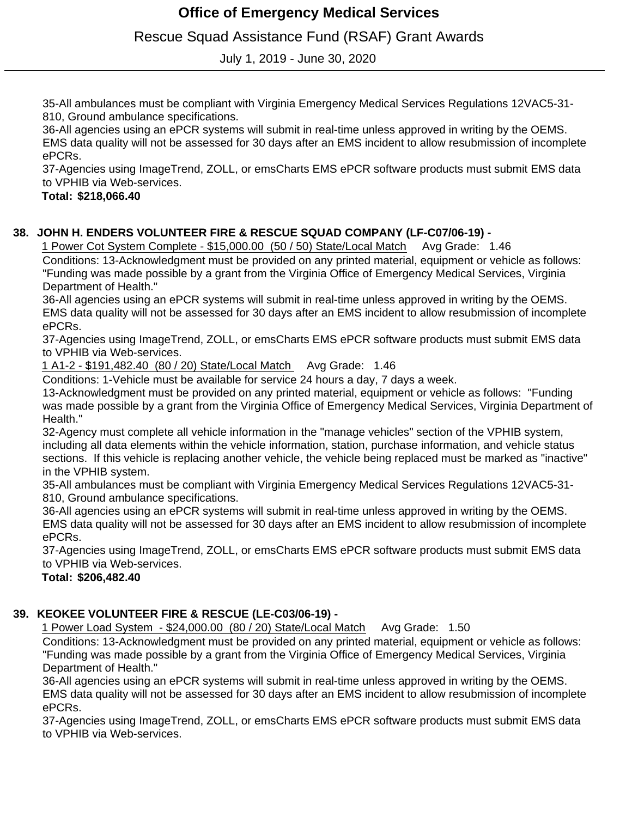Rescue Squad Assistance Fund (RSAF) Grant Awards

July 1, 2019 - June 30, 2020

35-All ambulances must be compliant with Virginia Emergency Medical Services Regulations 12VAC5-31- 810, Ground ambulance specifications.

36-All agencies using an ePCR systems will submit in real-time unless approved in writing by the OEMS. EMS data quality will not be assessed for 30 days after an EMS incident to allow resubmission of incomplete ePCRs.

37-Agencies using ImageTrend, ZOLL, or emsCharts EMS ePCR software products must submit EMS data to VPHIB via Web-services.

#### **\$218,066.40 Total:**

### **JOHN H. ENDERS VOLUNTEER FIRE & RESCUE SQUAD COMPANY (LF-C07/06-19) - 38.**

1 Power Cot System Complete - \$15,000.00 (50 / 50) State/Local Match Avg Grade: 1.46 Conditions: 13-Acknowledgment must be provided on any printed material, equipment or vehicle as follows: "Funding was made possible by a grant from the Virginia Office of Emergency Medical Services, Virginia Department of Health."

36-All agencies using an ePCR systems will submit in real-time unless approved in writing by the OEMS. EMS data quality will not be assessed for 30 days after an EMS incident to allow resubmission of incomplete ePCRs.

37-Agencies using ImageTrend, ZOLL, or emsCharts EMS ePCR software products must submit EMS data to VPHIB via Web-services.

1 A1-2 - \$191,482.40 (80 / 20) State/Local Match Avg Grade: 1.46

Conditions: 1-Vehicle must be available for service 24 hours a day, 7 days a week.

13-Acknowledgment must be provided on any printed material, equipment or vehicle as follows: "Funding was made possible by a grant from the Virginia Office of Emergency Medical Services, Virginia Department of Health."

32-Agency must complete all vehicle information in the "manage vehicles" section of the VPHIB system, including all data elements within the vehicle information, station, purchase information, and vehicle status sections. If this vehicle is replacing another vehicle, the vehicle being replaced must be marked as "inactive" in the VPHIB system.

35-All ambulances must be compliant with Virginia Emergency Medical Services Regulations 12VAC5-31- 810, Ground ambulance specifications.

36-All agencies using an ePCR systems will submit in real-time unless approved in writing by the OEMS. EMS data quality will not be assessed for 30 days after an EMS incident to allow resubmission of incomplete ePCRs.

37-Agencies using ImageTrend, ZOLL, or emsCharts EMS ePCR software products must submit EMS data to VPHIB via Web-services.

 **\$206,482.40 Total:**

## **KEOKEE VOLUNTEER FIRE & RESCUE (LE-C03/06-19) - 39.**

1 Power Load System - \$24,000.00 (80 / 20) State/Local Match Avg Grade: 1.50

Conditions: 13-Acknowledgment must be provided on any printed material, equipment or vehicle as follows: "Funding was made possible by a grant from the Virginia Office of Emergency Medical Services, Virginia Department of Health."

36-All agencies using an ePCR systems will submit in real-time unless approved in writing by the OEMS. EMS data quality will not be assessed for 30 days after an EMS incident to allow resubmission of incomplete ePCRs.

37-Agencies using ImageTrend, ZOLL, or emsCharts EMS ePCR software products must submit EMS data to VPHIB via Web-services.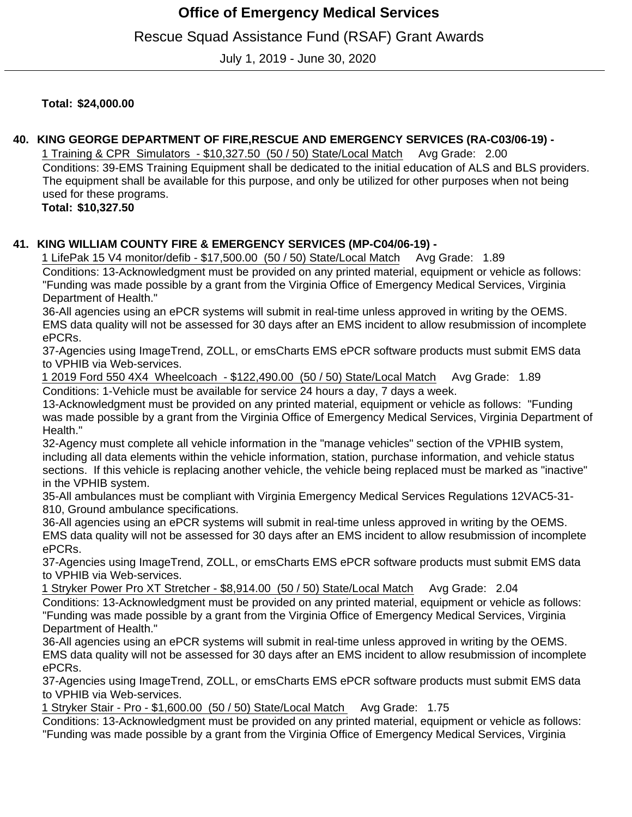Rescue Squad Assistance Fund (RSAF) Grant Awards

July 1, 2019 - June 30, 2020

 **\$24,000.00 Total:**

### **KING GEORGE DEPARTMENT OF FIRE,RESCUE AND EMERGENCY SERVICES (RA-C03/06-19) - 40.**

1 Training & CPR Simulators - \$10,327.50 (50 / 50) State/Local Match Avg Grade: 2.00 Conditions: 39-EMS Training Equipment shall be dedicated to the initial education of ALS and BLS providers. The equipment shall be available for this purpose, and only be utilized for other purposes when not being used for these programs.

 **\$10,327.50 Total:**

### **KING WILLIAM COUNTY FIRE & EMERGENCY SERVICES (MP-C04/06-19) - 41.**

1 LifePak 15 V4 monitor/defib - \$17,500.00 (50 / 50) State/Local Match Avg Grade: 1.89 Conditions: 13-Acknowledgment must be provided on any printed material, equipment or vehicle as follows: "Funding was made possible by a grant from the Virginia Office of Emergency Medical Services, Virginia Department of Health."

36-All agencies using an ePCR systems will submit in real-time unless approved in writing by the OEMS. EMS data quality will not be assessed for 30 days after an EMS incident to allow resubmission of incomplete ePCRs.

37-Agencies using ImageTrend, ZOLL, or emsCharts EMS ePCR software products must submit EMS data to VPHIB via Web-services.

1 2019 Ford 550 4X4 Wheelcoach - \$122,490.00 (50 / 50) State/Local Match Avg Grade: 1.89 Conditions: 1-Vehicle must be available for service 24 hours a day, 7 days a week.

13-Acknowledgment must be provided on any printed material, equipment or vehicle as follows: "Funding was made possible by a grant from the Virginia Office of Emergency Medical Services, Virginia Department of Health."

32-Agency must complete all vehicle information in the "manage vehicles" section of the VPHIB system, including all data elements within the vehicle information, station, purchase information, and vehicle status sections. If this vehicle is replacing another vehicle, the vehicle being replaced must be marked as "inactive" in the VPHIB system.

35-All ambulances must be compliant with Virginia Emergency Medical Services Regulations 12VAC5-31- 810, Ground ambulance specifications.

36-All agencies using an ePCR systems will submit in real-time unless approved in writing by the OEMS. EMS data quality will not be assessed for 30 days after an EMS incident to allow resubmission of incomplete ePCRs.

37-Agencies using ImageTrend, ZOLL, or emsCharts EMS ePCR software products must submit EMS data to VPHIB via Web-services.

1 Stryker Power Pro XT Stretcher - \$8,914.00 (50 / 50) State/Local Match Avg Grade: 2.04 Conditions: 13-Acknowledgment must be provided on any printed material, equipment or vehicle as follows: "Funding was made possible by a grant from the Virginia Office of Emergency Medical Services, Virginia Department of Health."

36-All agencies using an ePCR systems will submit in real-time unless approved in writing by the OEMS. EMS data quality will not be assessed for 30 days after an EMS incident to allow resubmission of incomplete ePCRs.

37-Agencies using ImageTrend, ZOLL, or emsCharts EMS ePCR software products must submit EMS data to VPHIB via Web-services.

1 Stryker Stair - Pro - \$1,600.00 (50 / 50) State/Local Match Avg Grade: 1.75

Conditions: 13-Acknowledgment must be provided on any printed material, equipment or vehicle as follows: "Funding was made possible by a grant from the Virginia Office of Emergency Medical Services, Virginia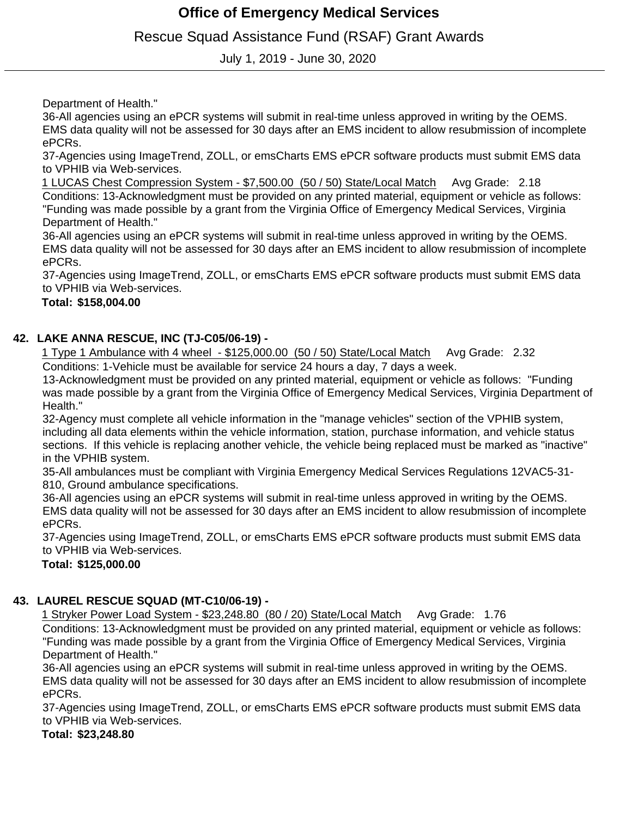Rescue Squad Assistance Fund (RSAF) Grant Awards

July 1, 2019 - June 30, 2020

Department of Health."

36-All agencies using an ePCR systems will submit in real-time unless approved in writing by the OEMS. EMS data quality will not be assessed for 30 days after an EMS incident to allow resubmission of incomplete ePCRs.

37-Agencies using ImageTrend, ZOLL, or emsCharts EMS ePCR software products must submit EMS data to VPHIB via Web-services.

1 LUCAS Chest Compression System - \$7,500.00 (50 / 50) State/Local Match Avg Grade: 2.18 Conditions: 13-Acknowledgment must be provided on any printed material, equipment or vehicle as follows: "Funding was made possible by a grant from the Virginia Office of Emergency Medical Services, Virginia Department of Health."

36-All agencies using an ePCR systems will submit in real-time unless approved in writing by the OEMS. EMS data quality will not be assessed for 30 days after an EMS incident to allow resubmission of incomplete ePCRs.

37-Agencies using ImageTrend, ZOLL, or emsCharts EMS ePCR software products must submit EMS data to VPHIB via Web-services.

#### **\$158,004.00 Total:**

### **LAKE ANNA RESCUE, INC (TJ-C05/06-19) - 42.**

1 Type 1 Ambulance with 4 wheel - \$125,000.00 (50 / 50) State/Local Match Avg Grade: 2.32 Conditions: 1-Vehicle must be available for service 24 hours a day, 7 days a week.

13-Acknowledgment must be provided on any printed material, equipment or vehicle as follows: "Funding was made possible by a grant from the Virginia Office of Emergency Medical Services, Virginia Department of Health."

32-Agency must complete all vehicle information in the "manage vehicles" section of the VPHIB system, including all data elements within the vehicle information, station, purchase information, and vehicle status sections. If this vehicle is replacing another vehicle, the vehicle being replaced must be marked as "inactive" in the VPHIB system.

35-All ambulances must be compliant with Virginia Emergency Medical Services Regulations 12VAC5-31- 810, Ground ambulance specifications.

36-All agencies using an ePCR systems will submit in real-time unless approved in writing by the OEMS. EMS data quality will not be assessed for 30 days after an EMS incident to allow resubmission of incomplete ePCRs.

37-Agencies using ImageTrend, ZOLL, or emsCharts EMS ePCR software products must submit EMS data to VPHIB via Web-services.

 **\$125,000.00 Total:**

## **LAUREL RESCUE SQUAD (MT-C10/06-19) - 43.**

1 Stryker Power Load System - \$23,248.80 (80 / 20) State/Local Match Avg Grade: 1.76 Conditions: 13-Acknowledgment must be provided on any printed material, equipment or vehicle as follows: "Funding was made possible by a grant from the Virginia Office of Emergency Medical Services, Virginia Department of Health."

36-All agencies using an ePCR systems will submit in real-time unless approved in writing by the OEMS. EMS data quality will not be assessed for 30 days after an EMS incident to allow resubmission of incomplete ePCRs.

37-Agencies using ImageTrend, ZOLL, or emsCharts EMS ePCR software products must submit EMS data to VPHIB via Web-services.

### **\$23,248.80 Total:**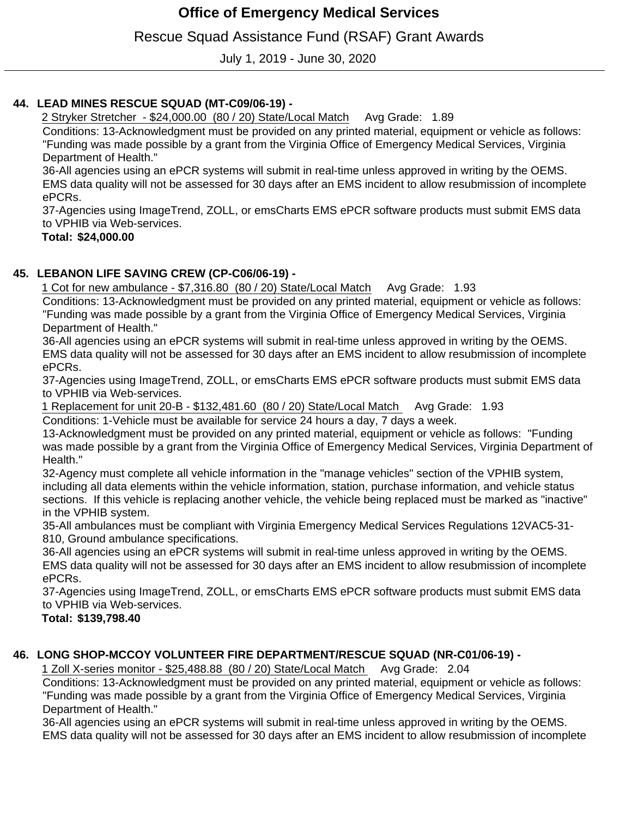Rescue Squad Assistance Fund (RSAF) Grant Awards

July 1, 2019 - June 30, 2020

## **LEAD MINES RESCUE SQUAD (MT-C09/06-19) - 44.**

2 Stryker Stretcher - \$24,000.00 (80 / 20) State/Local Match Avg Grade: 1.89

Conditions: 13-Acknowledgment must be provided on any printed material, equipment or vehicle as follows: "Funding was made possible by a grant from the Virginia Office of Emergency Medical Services, Virginia Department of Health."

36-All agencies using an ePCR systems will submit in real-time unless approved in writing by the OEMS. EMS data quality will not be assessed for 30 days after an EMS incident to allow resubmission of incomplete ePCRs.

37-Agencies using ImageTrend, ZOLL, or emsCharts EMS ePCR software products must submit EMS data to VPHIB via Web-services.

 **\$24,000.00 Total:**

## **LEBANON LIFE SAVING CREW (CP-C06/06-19) - 45.**

1 Cot for new ambulance - \$7,316.80 (80 / 20) State/Local Match Avg Grade: 1.93

Conditions: 13-Acknowledgment must be provided on any printed material, equipment or vehicle as follows: "Funding was made possible by a grant from the Virginia Office of Emergency Medical Services, Virginia Department of Health."

36-All agencies using an ePCR systems will submit in real-time unless approved in writing by the OEMS. EMS data quality will not be assessed for 30 days after an EMS incident to allow resubmission of incomplete ePCRs.

37-Agencies using ImageTrend, ZOLL, or emsCharts EMS ePCR software products must submit EMS data to VPHIB via Web-services.

1 Replacement for unit 20-B - \$132,481.60 (80 / 20) State/Local Match Avg Grade: 1.93

Conditions: 1-Vehicle must be available for service 24 hours a day, 7 days a week.

13-Acknowledgment must be provided on any printed material, equipment or vehicle as follows: "Funding was made possible by a grant from the Virginia Office of Emergency Medical Services, Virginia Department of Health."

32-Agency must complete all vehicle information in the "manage vehicles" section of the VPHIB system, including all data elements within the vehicle information, station, purchase information, and vehicle status sections. If this vehicle is replacing another vehicle, the vehicle being replaced must be marked as "inactive" in the VPHIB system.

35-All ambulances must be compliant with Virginia Emergency Medical Services Regulations 12VAC5-31- 810, Ground ambulance specifications.

36-All agencies using an ePCR systems will submit in real-time unless approved in writing by the OEMS. EMS data quality will not be assessed for 30 days after an EMS incident to allow resubmission of incomplete ePCRs.

37-Agencies using ImageTrend, ZOLL, or emsCharts EMS ePCR software products must submit EMS data to VPHIB via Web-services.

 **\$139,798.40 Total:**

## **LONG SHOP-MCCOY VOLUNTEER FIRE DEPARTMENT/RESCUE SQUAD (NR-C01/06-19) - 46.**

1 Zoll X-series monitor - \$25,488.88 (80 / 20) State/Local Match Avg Grade: 2.04

Conditions: 13-Acknowledgment must be provided on any printed material, equipment or vehicle as follows: "Funding was made possible by a grant from the Virginia Office of Emergency Medical Services, Virginia Department of Health."

36-All agencies using an ePCR systems will submit in real-time unless approved in writing by the OEMS. EMS data quality will not be assessed for 30 days after an EMS incident to allow resubmission of incomplete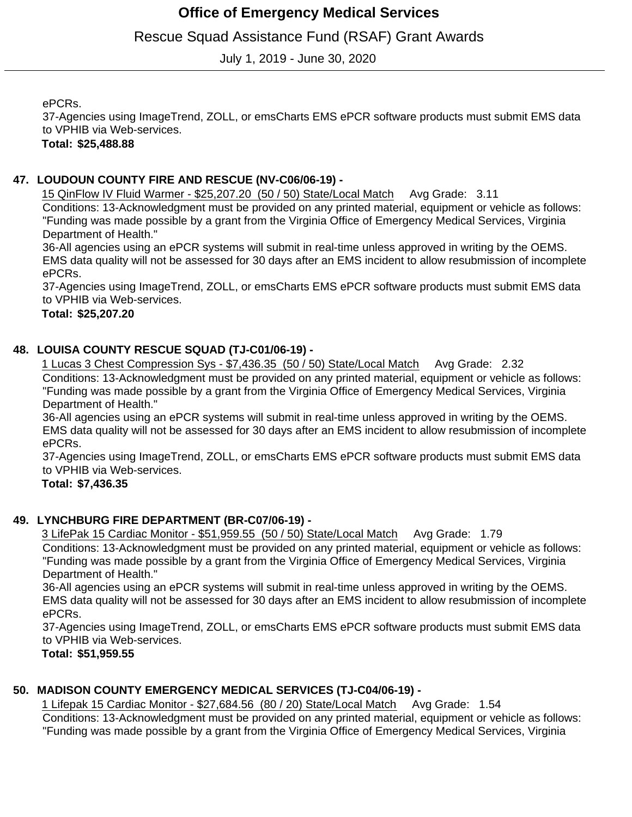Rescue Squad Assistance Fund (RSAF) Grant Awards

July 1, 2019 - June 30, 2020

ePCRs.

37-Agencies using ImageTrend, ZOLL, or emsCharts EMS ePCR software products must submit EMS data to VPHIB via Web-services.

 **\$25,488.88 Total:**

### **LOUDOUN COUNTY FIRE AND RESCUE (NV-C06/06-19) - 47.**

15 QinFlow IV Fluid Warmer - \$25,207.20 (50 / 50) State/Local Match Avg Grade: 3.11 Conditions: 13-Acknowledgment must be provided on any printed material, equipment or vehicle as follows: "Funding was made possible by a grant from the Virginia Office of Emergency Medical Services, Virginia Department of Health."

36-All agencies using an ePCR systems will submit in real-time unless approved in writing by the OEMS. EMS data quality will not be assessed for 30 days after an EMS incident to allow resubmission of incomplete ePCRs.

37-Agencies using ImageTrend, ZOLL, or emsCharts EMS ePCR software products must submit EMS data to VPHIB via Web-services.

 **\$25,207.20 Total:**

### **LOUISA COUNTY RESCUE SQUAD (TJ-C01/06-19) - 48.**

1 Lucas 3 Chest Compression Sys - \$7,436.35 (50 / 50) State/Local Match Avg Grade: 2.32 Conditions: 13-Acknowledgment must be provided on any printed material, equipment or vehicle as follows: "Funding was made possible by a grant from the Virginia Office of Emergency Medical Services, Virginia Department of Health."

36-All agencies using an ePCR systems will submit in real-time unless approved in writing by the OEMS. EMS data quality will not be assessed for 30 days after an EMS incident to allow resubmission of incomplete ePCRs.

37-Agencies using ImageTrend, ZOLL, or emsCharts EMS ePCR software products must submit EMS data to VPHIB via Web-services.

 **\$7,436.35 Total:**

### **LYNCHBURG FIRE DEPARTMENT (BR-C07/06-19) - 49.**

3 LifePak 15 Cardiac Monitor - \$51,959.55 (50 / 50) State/Local Match Avg Grade: 1.79 Conditions: 13-Acknowledgment must be provided on any printed material, equipment or vehicle as follows: "Funding was made possible by a grant from the Virginia Office of Emergency Medical Services, Virginia Department of Health."

36-All agencies using an ePCR systems will submit in real-time unless approved in writing by the OEMS. EMS data quality will not be assessed for 30 days after an EMS incident to allow resubmission of incomplete ePCRs.

37-Agencies using ImageTrend, ZOLL, or emsCharts EMS ePCR software products must submit EMS data to VPHIB via Web-services.

 **\$51,959.55 Total:**

### **MADISON COUNTY EMERGENCY MEDICAL SERVICES (TJ-C04/06-19) - 50.**

1 Lifepak 15 Cardiac Monitor - \$27,684.56 (80 / 20) State/Local Match Avg Grade: 1.54 Conditions: 13-Acknowledgment must be provided on any printed material, equipment or vehicle as follows: "Funding was made possible by a grant from the Virginia Office of Emergency Medical Services, Virginia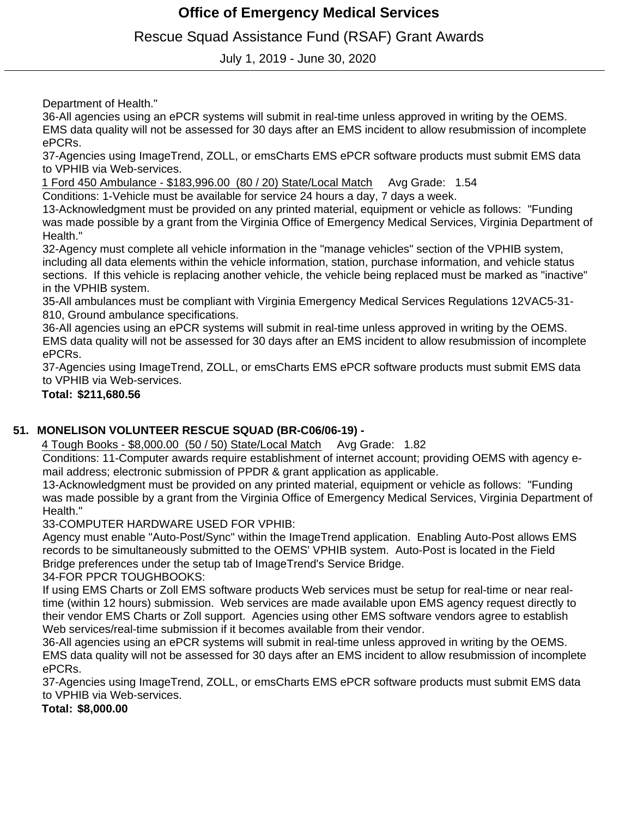# Rescue Squad Assistance Fund (RSAF) Grant Awards

July 1, 2019 - June 30, 2020

Department of Health."

36-All agencies using an ePCR systems will submit in real-time unless approved in writing by the OEMS. EMS data quality will not be assessed for 30 days after an EMS incident to allow resubmission of incomplete ePCRs.

37-Agencies using ImageTrend, ZOLL, or emsCharts EMS ePCR software products must submit EMS data to VPHIB via Web-services.

1 Ford 450 Ambulance - \$183,996.00 (80 / 20) State/Local Match Avg Grade: 1.54

Conditions: 1-Vehicle must be available for service 24 hours a day, 7 days a week.

13-Acknowledgment must be provided on any printed material, equipment or vehicle as follows: "Funding was made possible by a grant from the Virginia Office of Emergency Medical Services, Virginia Department of Health."

32-Agency must complete all vehicle information in the "manage vehicles" section of the VPHIB system, including all data elements within the vehicle information, station, purchase information, and vehicle status sections. If this vehicle is replacing another vehicle, the vehicle being replaced must be marked as "inactive" in the VPHIB system.

35-All ambulances must be compliant with Virginia Emergency Medical Services Regulations 12VAC5-31- 810, Ground ambulance specifications.

36-All agencies using an ePCR systems will submit in real-time unless approved in writing by the OEMS. EMS data quality will not be assessed for 30 days after an EMS incident to allow resubmission of incomplete ePCRs.

37-Agencies using ImageTrend, ZOLL, or emsCharts EMS ePCR software products must submit EMS data to VPHIB via Web-services.

 **\$211,680.56 Total:**

### **MONELISON VOLUNTEER RESCUE SQUAD (BR-C06/06-19) - 51.**

4 Tough Books - \$8,000.00 (50 / 50) State/Local Match Avg Grade: 1.82

Conditions: 11-Computer awards require establishment of internet account; providing OEMS with agency email address; electronic submission of PPDR & grant application as applicable.

13-Acknowledgment must be provided on any printed material, equipment or vehicle as follows: "Funding was made possible by a grant from the Virginia Office of Emergency Medical Services, Virginia Department of Health."

33-COMPUTER HARDWARE USED FOR VPHIB:

Agency must enable "Auto-Post/Sync" within the ImageTrend application. Enabling Auto-Post allows EMS records to be simultaneously submitted to the OEMS' VPHIB system. Auto-Post is located in the Field Bridge preferences under the setup tab of ImageTrend's Service Bridge.

34-FOR PPCR TOUGHBOOKS:

If using EMS Charts or Zoll EMS software products Web services must be setup for real-time or near realtime (within 12 hours) submission. Web services are made available upon EMS agency request directly to their vendor EMS Charts or Zoll support. Agencies using other EMS software vendors agree to establish Web services/real-time submission if it becomes available from their vendor.

36-All agencies using an ePCR systems will submit in real-time unless approved in writing by the OEMS. EMS data quality will not be assessed for 30 days after an EMS incident to allow resubmission of incomplete ePCRs.

37-Agencies using ImageTrend, ZOLL, or emsCharts EMS ePCR software products must submit EMS data to VPHIB via Web-services.

 **\$8,000.00 Total:**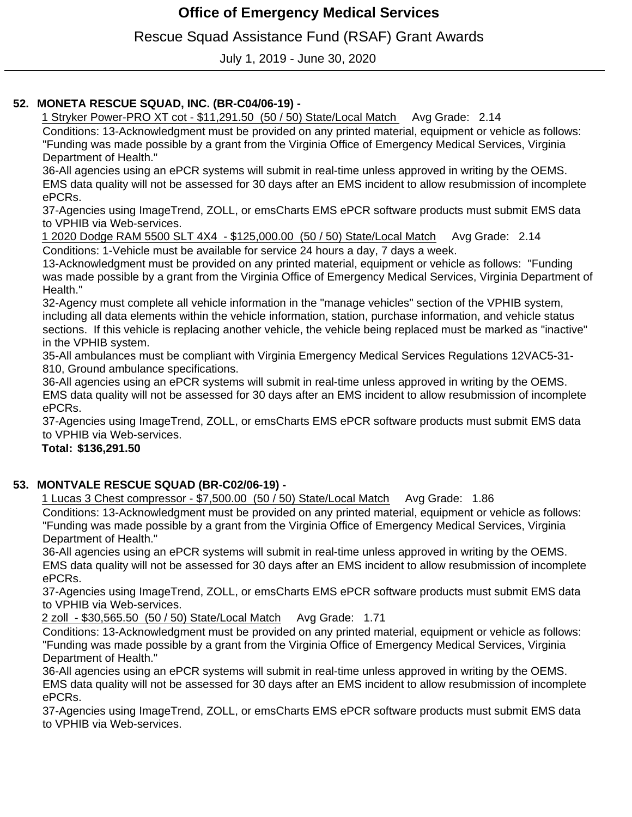Rescue Squad Assistance Fund (RSAF) Grant Awards

July 1, 2019 - June 30, 2020

### **MONETA RESCUE SQUAD, INC. (BR-C04/06-19) - 52.**

1 Stryker Power-PRO XT cot - \$11,291.50 (50 / 50) State/Local Match Avg Grade: 2.14

Conditions: 13-Acknowledgment must be provided on any printed material, equipment or vehicle as follows: "Funding was made possible by a grant from the Virginia Office of Emergency Medical Services, Virginia Department of Health."

36-All agencies using an ePCR systems will submit in real-time unless approved in writing by the OEMS. EMS data quality will not be assessed for 30 days after an EMS incident to allow resubmission of incomplete ePCRs.

37-Agencies using ImageTrend, ZOLL, or emsCharts EMS ePCR software products must submit EMS data to VPHIB via Web-services.

1 2020 Dodge RAM 5500 SLT 4X4 - \$125,000.00 (50 / 50) State/Local Match Avg Grade: 2.14 Conditions: 1-Vehicle must be available for service 24 hours a day, 7 days a week.

13-Acknowledgment must be provided on any printed material, equipment or vehicle as follows: "Funding was made possible by a grant from the Virginia Office of Emergency Medical Services, Virginia Department of Health."

32-Agency must complete all vehicle information in the "manage vehicles" section of the VPHIB system, including all data elements within the vehicle information, station, purchase information, and vehicle status sections. If this vehicle is replacing another vehicle, the vehicle being replaced must be marked as "inactive" in the VPHIB system.

35-All ambulances must be compliant with Virginia Emergency Medical Services Regulations 12VAC5-31- 810, Ground ambulance specifications.

36-All agencies using an ePCR systems will submit in real-time unless approved in writing by the OEMS. EMS data quality will not be assessed for 30 days after an EMS incident to allow resubmission of incomplete ePCRs.

37-Agencies using ImageTrend, ZOLL, or emsCharts EMS ePCR software products must submit EMS data to VPHIB via Web-services.

**Total: \$136,291.50**

### **MONTVALE RESCUE SQUAD (BR-C02/06-19) - 53.**

1 Lucas 3 Chest compressor - \$7,500.00 (50 / 50) State/Local Match Avg Grade: 1.86 Conditions: 13-Acknowledgment must be provided on any printed material, equipment or vehicle as follows: "Funding was made possible by a grant from the Virginia Office of Emergency Medical Services, Virginia Department of Health."

36-All agencies using an ePCR systems will submit in real-time unless approved in writing by the OEMS. EMS data quality will not be assessed for 30 days after an EMS incident to allow resubmission of incomplete ePCRs.

37-Agencies using ImageTrend, ZOLL, or emsCharts EMS ePCR software products must submit EMS data to VPHIB via Web-services.

2 zoll - \$30,565.50 (50 / 50) State/Local Match Avg Grade: 1.71

Conditions: 13-Acknowledgment must be provided on any printed material, equipment or vehicle as follows: "Funding was made possible by a grant from the Virginia Office of Emergency Medical Services, Virginia Department of Health."

36-All agencies using an ePCR systems will submit in real-time unless approved in writing by the OEMS. EMS data quality will not be assessed for 30 days after an EMS incident to allow resubmission of incomplete ePCRs.

37-Agencies using ImageTrend, ZOLL, or emsCharts EMS ePCR software products must submit EMS data to VPHIB via Web-services.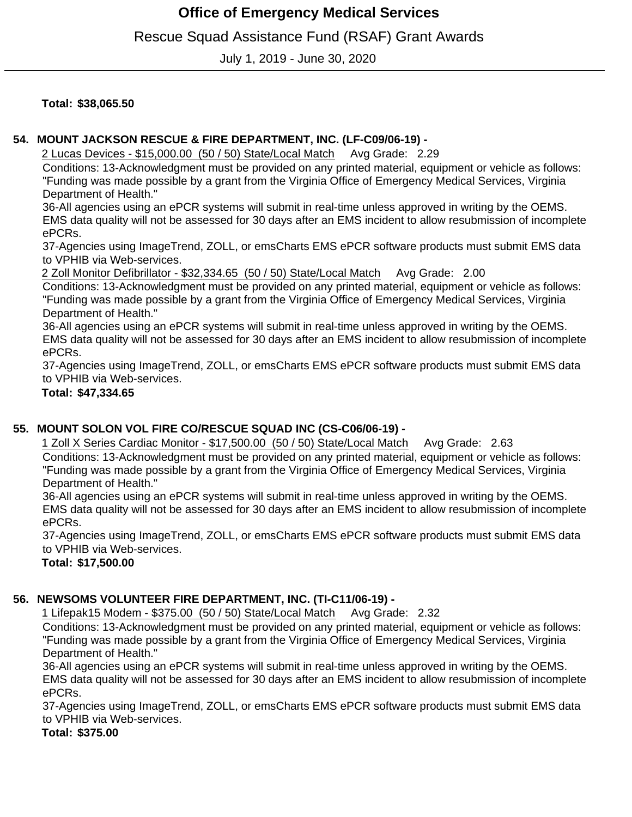## Rescue Squad Assistance Fund (RSAF) Grant Awards

July 1, 2019 - June 30, 2020

 **\$38,065.50 Total:**

### **MOUNT JACKSON RESCUE & FIRE DEPARTMENT, INC. (LF-C09/06-19) - 54.**

2 Lucas Devices - \$15,000.00 (50 / 50) State/Local Match Avg Grade: 2.29

Conditions: 13-Acknowledgment must be provided on any printed material, equipment or vehicle as follows: "Funding was made possible by a grant from the Virginia Office of Emergency Medical Services, Virginia Department of Health."

36-All agencies using an ePCR systems will submit in real-time unless approved in writing by the OEMS. EMS data quality will not be assessed for 30 days after an EMS incident to allow resubmission of incomplete ePCRs.

37-Agencies using ImageTrend, ZOLL, or emsCharts EMS ePCR software products must submit EMS data to VPHIB via Web-services.

2 Zoll Monitor Defibrillator - \$32,334.65 (50 / 50) State/Local Match Avg Grade: 2.00

Conditions: 13-Acknowledgment must be provided on any printed material, equipment or vehicle as follows: "Funding was made possible by a grant from the Virginia Office of Emergency Medical Services, Virginia Department of Health."

36-All agencies using an ePCR systems will submit in real-time unless approved in writing by the OEMS. EMS data quality will not be assessed for 30 days after an EMS incident to allow resubmission of incomplete ePCRs.

37-Agencies using ImageTrend, ZOLL, or emsCharts EMS ePCR software products must submit EMS data to VPHIB via Web-services.

 **\$47,334.65 Total:**

### **MOUNT SOLON VOL FIRE CO/RESCUE SQUAD INC (CS-C06/06-19) - 55.**

1 Zoll X Series Cardiac Monitor - \$17,500.00 (50 / 50) State/Local Match Avg Grade: 2.63 Conditions: 13-Acknowledgment must be provided on any printed material, equipment or vehicle as follows: "Funding was made possible by a grant from the Virginia Office of Emergency Medical Services, Virginia Department of Health."

36-All agencies using an ePCR systems will submit in real-time unless approved in writing by the OEMS. EMS data quality will not be assessed for 30 days after an EMS incident to allow resubmission of incomplete ePCRs.

37-Agencies using ImageTrend, ZOLL, or emsCharts EMS ePCR software products must submit EMS data to VPHIB via Web-services.

 **\$17,500.00 Total:**

## **NEWSOMS VOLUNTEER FIRE DEPARTMENT, INC. (TI-C11/06-19) - 56.**

1 Lifepak15 Modem - \$375.00 (50 / 50) State/Local Match Avg Grade: 2.32

Conditions: 13-Acknowledgment must be provided on any printed material, equipment or vehicle as follows: "Funding was made possible by a grant from the Virginia Office of Emergency Medical Services, Virginia Department of Health."

36-All agencies using an ePCR systems will submit in real-time unless approved in writing by the OEMS. EMS data quality will not be assessed for 30 days after an EMS incident to allow resubmission of incomplete ePCRs.

37-Agencies using ImageTrend, ZOLL, or emsCharts EMS ePCR software products must submit EMS data to VPHIB via Web-services.

 **\$375.00 Total:**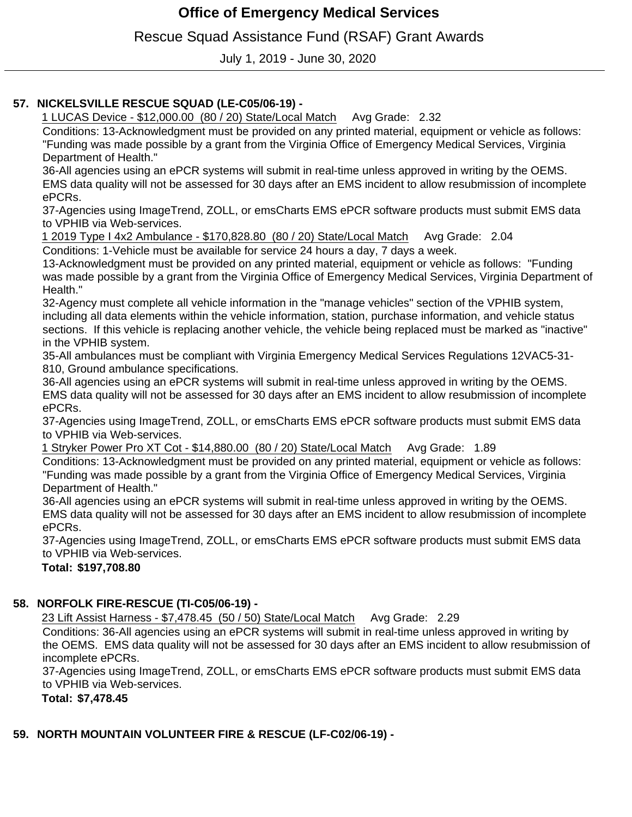Rescue Squad Assistance Fund (RSAF) Grant Awards

July 1, 2019 - June 30, 2020

### **NICKELSVILLE RESCUE SQUAD (LE-C05/06-19) - 57.**

1 LUCAS Device - \$12,000.00 (80 / 20) State/Local Match Avg Grade: 2.32

Conditions: 13-Acknowledgment must be provided on any printed material, equipment or vehicle as follows: "Funding was made possible by a grant from the Virginia Office of Emergency Medical Services, Virginia Department of Health."

36-All agencies using an ePCR systems will submit in real-time unless approved in writing by the OEMS. EMS data quality will not be assessed for 30 days after an EMS incident to allow resubmission of incomplete ePCRs.

37-Agencies using ImageTrend, ZOLL, or emsCharts EMS ePCR software products must submit EMS data to VPHIB via Web-services.

1 2019 Type I 4x2 Ambulance - \$170,828.80 (80 / 20) State/Local Match Avg Grade: 2.04

Conditions: 1-Vehicle must be available for service 24 hours a day, 7 days a week.

13-Acknowledgment must be provided on any printed material, equipment or vehicle as follows: "Funding was made possible by a grant from the Virginia Office of Emergency Medical Services, Virginia Department of Health."

32-Agency must complete all vehicle information in the "manage vehicles" section of the VPHIB system, including all data elements within the vehicle information, station, purchase information, and vehicle status sections. If this vehicle is replacing another vehicle, the vehicle being replaced must be marked as "inactive" in the VPHIB system.

35-All ambulances must be compliant with Virginia Emergency Medical Services Regulations 12VAC5-31- 810, Ground ambulance specifications.

36-All agencies using an ePCR systems will submit in real-time unless approved in writing by the OEMS. EMS data quality will not be assessed for 30 days after an EMS incident to allow resubmission of incomplete ePCRs.

37-Agencies using ImageTrend, ZOLL, or emsCharts EMS ePCR software products must submit EMS data to VPHIB via Web-services.

1 Stryker Power Pro XT Cot - \$14,880.00 (80 / 20) State/Local Match Avg Grade: 1.89

Conditions: 13-Acknowledgment must be provided on any printed material, equipment or vehicle as follows: "Funding was made possible by a grant from the Virginia Office of Emergency Medical Services, Virginia Department of Health."

36-All agencies using an ePCR systems will submit in real-time unless approved in writing by the OEMS. EMS data quality will not be assessed for 30 days after an EMS incident to allow resubmission of incomplete ePCRs.

37-Agencies using ImageTrend, ZOLL, or emsCharts EMS ePCR software products must submit EMS data to VPHIB via Web-services.

#### **\$197,708.80 Total:**

### **NORFOLK FIRE-RESCUE (TI-C05/06-19) - 58.**

23 Lift Assist Harness - \$7,478.45 (50 / 50) State/Local Match Avg Grade: 2.29

Conditions: 36-All agencies using an ePCR systems will submit in real-time unless approved in writing by the OEMS. EMS data quality will not be assessed for 30 days after an EMS incident to allow resubmission of incomplete ePCRs.

37-Agencies using ImageTrend, ZOLL, or emsCharts EMS ePCR software products must submit EMS data to VPHIB via Web-services.

 **\$7,478.45 Total:**

### **NORTH MOUNTAIN VOLUNTEER FIRE & RESCUE (LF-C02/06-19) - 59.**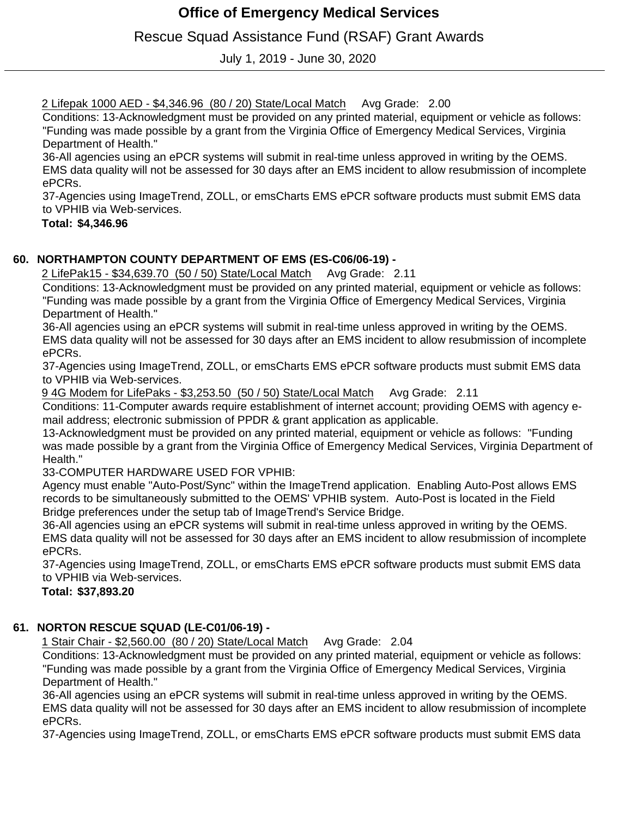Rescue Squad Assistance Fund (RSAF) Grant Awards

July 1, 2019 - June 30, 2020

2 Lifepak 1000 AED - \$4,346.96 (80 / 20) State/Local Match Avg Grade: 2.00

Conditions: 13-Acknowledgment must be provided on any printed material, equipment or vehicle as follows: "Funding was made possible by a grant from the Virginia Office of Emergency Medical Services, Virginia Department of Health."

36-All agencies using an ePCR systems will submit in real-time unless approved in writing by the OEMS. EMS data quality will not be assessed for 30 days after an EMS incident to allow resubmission of incomplete ePCRs.

37-Agencies using ImageTrend, ZOLL, or emsCharts EMS ePCR software products must submit EMS data to VPHIB via Web-services.

 **\$4,346.96 Total:**

### **NORTHAMPTON COUNTY DEPARTMENT OF EMS (ES-C06/06-19) - 60.**

2 LifePak15 - \$34,639.70 (50 / 50) State/Local Match Avg Grade: 2.11

Conditions: 13-Acknowledgment must be provided on any printed material, equipment or vehicle as follows: "Funding was made possible by a grant from the Virginia Office of Emergency Medical Services, Virginia Department of Health."

36-All agencies using an ePCR systems will submit in real-time unless approved in writing by the OEMS. EMS data quality will not be assessed for 30 days after an EMS incident to allow resubmission of incomplete ePCRs.

37-Agencies using ImageTrend, ZOLL, or emsCharts EMS ePCR software products must submit EMS data to VPHIB via Web-services.

9 4G Modem for LifePaks - \$3,253.50 (50 / 50) State/Local Match Avg Grade: 2.11

Conditions: 11-Computer awards require establishment of internet account; providing OEMS with agency email address; electronic submission of PPDR & grant application as applicable.

13-Acknowledgment must be provided on any printed material, equipment or vehicle as follows: "Funding was made possible by a grant from the Virginia Office of Emergency Medical Services, Virginia Department of Health."

33-COMPUTER HARDWARE USED FOR VPHIB:

Agency must enable "Auto-Post/Sync" within the ImageTrend application. Enabling Auto-Post allows EMS records to be simultaneously submitted to the OEMS' VPHIB system. Auto-Post is located in the Field Bridge preferences under the setup tab of ImageTrend's Service Bridge.

36-All agencies using an ePCR systems will submit in real-time unless approved in writing by the OEMS. EMS data quality will not be assessed for 30 days after an EMS incident to allow resubmission of incomplete ePCRs.

37-Agencies using ImageTrend, ZOLL, or emsCharts EMS ePCR software products must submit EMS data to VPHIB via Web-services.

 **\$37,893.20 Total:**

## **NORTON RESCUE SQUAD (LE-C01/06-19) - 61.**

1 Stair Chair - \$2,560.00 (80 / 20) State/Local Match Avg Grade: 2.04

Conditions: 13-Acknowledgment must be provided on any printed material, equipment or vehicle as follows: "Funding was made possible by a grant from the Virginia Office of Emergency Medical Services, Virginia Department of Health."

36-All agencies using an ePCR systems will submit in real-time unless approved in writing by the OEMS. EMS data quality will not be assessed for 30 days after an EMS incident to allow resubmission of incomplete ePCRs.

37-Agencies using ImageTrend, ZOLL, or emsCharts EMS ePCR software products must submit EMS data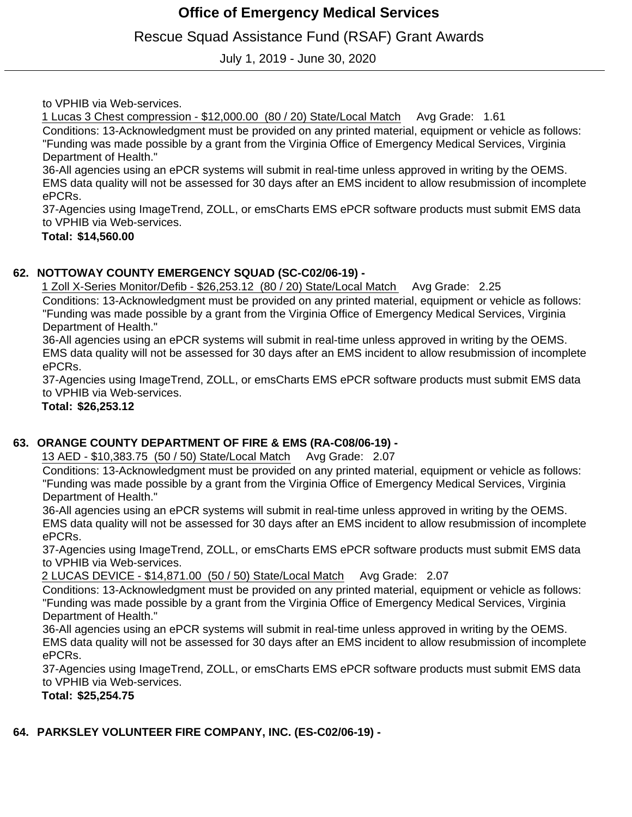Rescue Squad Assistance Fund (RSAF) Grant Awards

July 1, 2019 - June 30, 2020

to VPHIB via Web-services.

1 Lucas 3 Chest compression - \$12,000.00 (80 / 20) State/Local Match Avg Grade: 1.61

Conditions: 13-Acknowledgment must be provided on any printed material, equipment or vehicle as follows: "Funding was made possible by a grant from the Virginia Office of Emergency Medical Services, Virginia Department of Health."

36-All agencies using an ePCR systems will submit in real-time unless approved in writing by the OEMS. EMS data quality will not be assessed for 30 days after an EMS incident to allow resubmission of incomplete ePCRs.

37-Agencies using ImageTrend, ZOLL, or emsCharts EMS ePCR software products must submit EMS data to VPHIB via Web-services.

 **\$14,560.00 Total:**

#### **NOTTOWAY COUNTY EMERGENCY SQUAD (SC-C02/06-19) - 62.**

1 Zoll X-Series Monitor/Defib - \$26,253.12 (80 / 20) State/Local Match Avg Grade: 2.25 Conditions: 13-Acknowledgment must be provided on any printed material, equipment or vehicle as follows: "Funding was made possible by a grant from the Virginia Office of Emergency Medical Services, Virginia Department of Health."

36-All agencies using an ePCR systems will submit in real-time unless approved in writing by the OEMS. EMS data quality will not be assessed for 30 days after an EMS incident to allow resubmission of incomplete ePCRs.

37-Agencies using ImageTrend, ZOLL, or emsCharts EMS ePCR software products must submit EMS data to VPHIB via Web-services.

 **\$26,253.12 Total:**

### **ORANGE COUNTY DEPARTMENT OF FIRE & EMS (RA-C08/06-19) - 63.**

13 AED - \$10,383.75 (50 / 50) State/Local Match Avg Grade: 2.07

Conditions: 13-Acknowledgment must be provided on any printed material, equipment or vehicle as follows: "Funding was made possible by a grant from the Virginia Office of Emergency Medical Services, Virginia Department of Health."

36-All agencies using an ePCR systems will submit in real-time unless approved in writing by the OEMS. EMS data quality will not be assessed for 30 days after an EMS incident to allow resubmission of incomplete ePCRs.

37-Agencies using ImageTrend, ZOLL, or emsCharts EMS ePCR software products must submit EMS data to VPHIB via Web-services.

2 LUCAS DEVICE - \$14,871.00 (50 / 50) State/Local Match Avg Grade: 2.07

Conditions: 13-Acknowledgment must be provided on any printed material, equipment or vehicle as follows: "Funding was made possible by a grant from the Virginia Office of Emergency Medical Services, Virginia Department of Health."

36-All agencies using an ePCR systems will submit in real-time unless approved in writing by the OEMS. EMS data quality will not be assessed for 30 days after an EMS incident to allow resubmission of incomplete ePCRs.

37-Agencies using ImageTrend, ZOLL, or emsCharts EMS ePCR software products must submit EMS data to VPHIB via Web-services.

 **\$25,254.75 Total:**

## **PARKSLEY VOLUNTEER FIRE COMPANY, INC. (ES-C02/06-19) - 64.**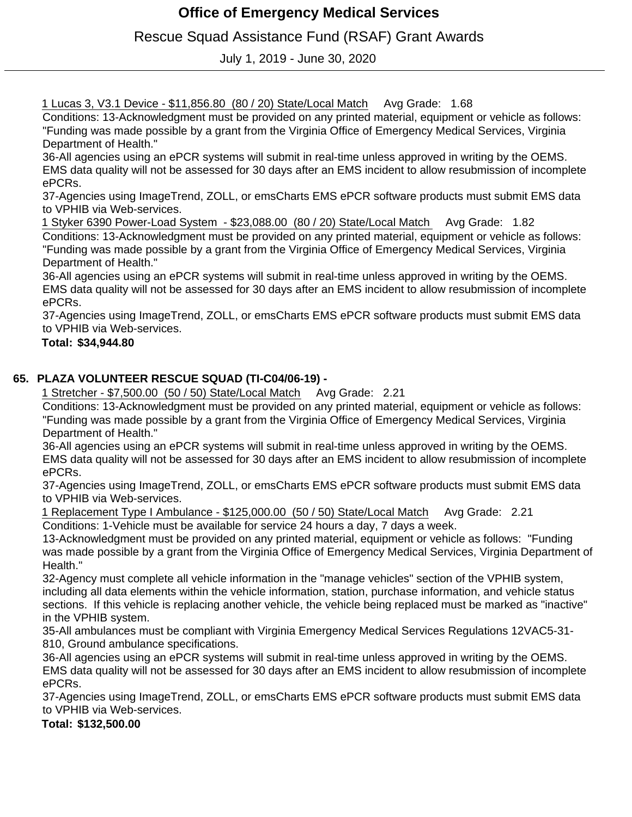Rescue Squad Assistance Fund (RSAF) Grant Awards

July 1, 2019 - June 30, 2020

1 Lucas 3, V3.1 Device - \$11,856.80 (80 / 20) State/Local Match Avg Grade: 1.68

Conditions: 13-Acknowledgment must be provided on any printed material, equipment or vehicle as follows: "Funding was made possible by a grant from the Virginia Office of Emergency Medical Services, Virginia Department of Health."

36-All agencies using an ePCR systems will submit in real-time unless approved in writing by the OEMS. EMS data quality will not be assessed for 30 days after an EMS incident to allow resubmission of incomplete ePCRs.

37-Agencies using ImageTrend, ZOLL, or emsCharts EMS ePCR software products must submit EMS data to VPHIB via Web-services.

1 Styker 6390 Power-Load System - \$23,088.00 (80 / 20) State/Local Match Avg Grade: 1.82 Conditions: 13-Acknowledgment must be provided on any printed material, equipment or vehicle as follows: "Funding was made possible by a grant from the Virginia Office of Emergency Medical Services, Virginia Department of Health."

36-All agencies using an ePCR systems will submit in real-time unless approved in writing by the OEMS. EMS data quality will not be assessed for 30 days after an EMS incident to allow resubmission of incomplete ePCRs.

37-Agencies using ImageTrend, ZOLL, or emsCharts EMS ePCR software products must submit EMS data to VPHIB via Web-services.

 **\$34,944.80 Total:**

### **PLAZA VOLUNTEER RESCUE SQUAD (TI-C04/06-19) - 65.**

1 Stretcher - \$7,500.00 (50 / 50) State/Local Match Avg Grade: 2.21

Conditions: 13-Acknowledgment must be provided on any printed material, equipment or vehicle as follows: "Funding was made possible by a grant from the Virginia Office of Emergency Medical Services, Virginia Department of Health."

36-All agencies using an ePCR systems will submit in real-time unless approved in writing by the OEMS. EMS data quality will not be assessed for 30 days after an EMS incident to allow resubmission of incomplete ePCRs.

37-Agencies using ImageTrend, ZOLL, or emsCharts EMS ePCR software products must submit EMS data to VPHIB via Web-services.

1 Replacement Type I Ambulance - \$125,000.00 (50 / 50) State/Local Match Avg Grade: 2.21 Conditions: 1-Vehicle must be available for service 24 hours a day, 7 days a week.

13-Acknowledgment must be provided on any printed material, equipment or vehicle as follows: "Funding was made possible by a grant from the Virginia Office of Emergency Medical Services, Virginia Department of Health."

32-Agency must complete all vehicle information in the "manage vehicles" section of the VPHIB system, including all data elements within the vehicle information, station, purchase information, and vehicle status sections. If this vehicle is replacing another vehicle, the vehicle being replaced must be marked as "inactive" in the VPHIB system.

35-All ambulances must be compliant with Virginia Emergency Medical Services Regulations 12VAC5-31- 810, Ground ambulance specifications.

36-All agencies using an ePCR systems will submit in real-time unless approved in writing by the OEMS. EMS data quality will not be assessed for 30 days after an EMS incident to allow resubmission of incomplete ePCRs.

37-Agencies using ImageTrend, ZOLL, or emsCharts EMS ePCR software products must submit EMS data to VPHIB via Web-services.

 **\$132,500.00 Total:**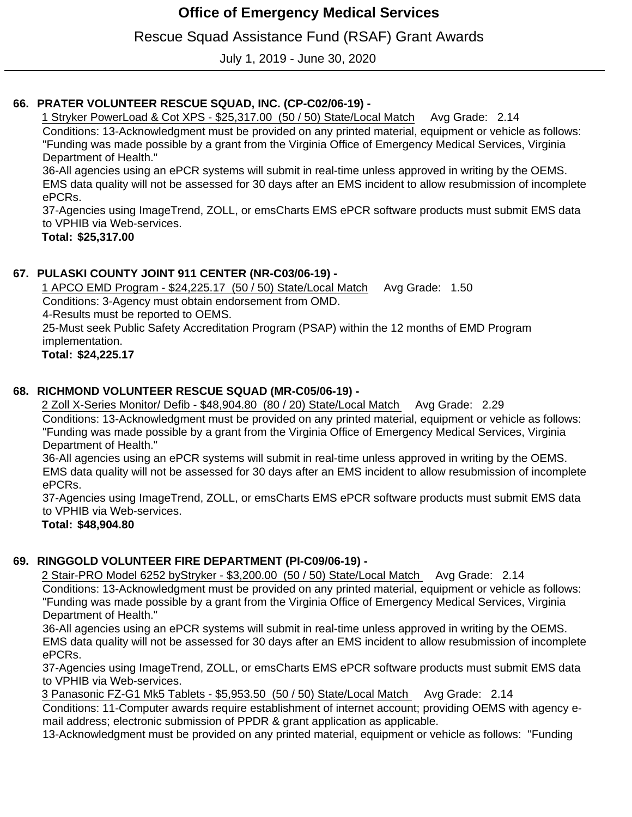Rescue Squad Assistance Fund (RSAF) Grant Awards

July 1, 2019 - June 30, 2020

## **PRATER VOLUNTEER RESCUE SQUAD, INC. (CP-C02/06-19) - 66.**

1 Stryker PowerLoad & Cot XPS - \$25,317.00 (50 / 50) State/Local Match Avg Grade: 2.14

Conditions: 13-Acknowledgment must be provided on any printed material, equipment or vehicle as follows: "Funding was made possible by a grant from the Virginia Office of Emergency Medical Services, Virginia Department of Health."

36-All agencies using an ePCR systems will submit in real-time unless approved in writing by the OEMS. EMS data quality will not be assessed for 30 days after an EMS incident to allow resubmission of incomplete ePCRs.

37-Agencies using ImageTrend, ZOLL, or emsCharts EMS ePCR software products must submit EMS data to VPHIB via Web-services.

 **\$25,317.00 Total:**

## **PULASKI COUNTY JOINT 911 CENTER (NR-C03/06-19) - 67.**

1 APCO EMD Program - \$24,225.17 (50 / 50) State/Local Match Avg Grade: 1.50

Conditions: 3-Agency must obtain endorsement from OMD.

4-Results must be reported to OEMS.

25-Must seek Public Safety Accreditation Program (PSAP) within the 12 months of EMD Program implementation.

 **\$24,225.17 Total:**

### **RICHMOND VOLUNTEER RESCUE SQUAD (MR-C05/06-19) - 68.**

2 Zoll X-Series Monitor/ Defib - \$48,904.80 (80 / 20) State/Local Match Avg Grade: 2.29

Conditions: 13-Acknowledgment must be provided on any printed material, equipment or vehicle as follows: "Funding was made possible by a grant from the Virginia Office of Emergency Medical Services, Virginia Department of Health."

36-All agencies using an ePCR systems will submit in real-time unless approved in writing by the OEMS. EMS data quality will not be assessed for 30 days after an EMS incident to allow resubmission of incomplete ePCRs.

37-Agencies using ImageTrend, ZOLL, or emsCharts EMS ePCR software products must submit EMS data to VPHIB via Web-services.

### **\$48,904.80 Total:**

## **RINGGOLD VOLUNTEER FIRE DEPARTMENT (PI-C09/06-19) - 69.**

2 Stair-PRO Model 6252 byStryker - \$3,200.00 (50 / 50) State/Local Match Avg Grade: 2.14 Conditions: 13-Acknowledgment must be provided on any printed material, equipment or vehicle as follows: "Funding was made possible by a grant from the Virginia Office of Emergency Medical Services, Virginia Department of Health."

36-All agencies using an ePCR systems will submit in real-time unless approved in writing by the OEMS. EMS data quality will not be assessed for 30 days after an EMS incident to allow resubmission of incomplete ePCRs.

37-Agencies using ImageTrend, ZOLL, or emsCharts EMS ePCR software products must submit EMS data to VPHIB via Web-services.

3 Panasonic FZ-G1 Mk5 Tablets - \$5,953.50 (50 / 50) State/Local Match Avg Grade: 2.14

Conditions: 11-Computer awards require establishment of internet account; providing OEMS with agency email address; electronic submission of PPDR & grant application as applicable.

13-Acknowledgment must be provided on any printed material, equipment or vehicle as follows: "Funding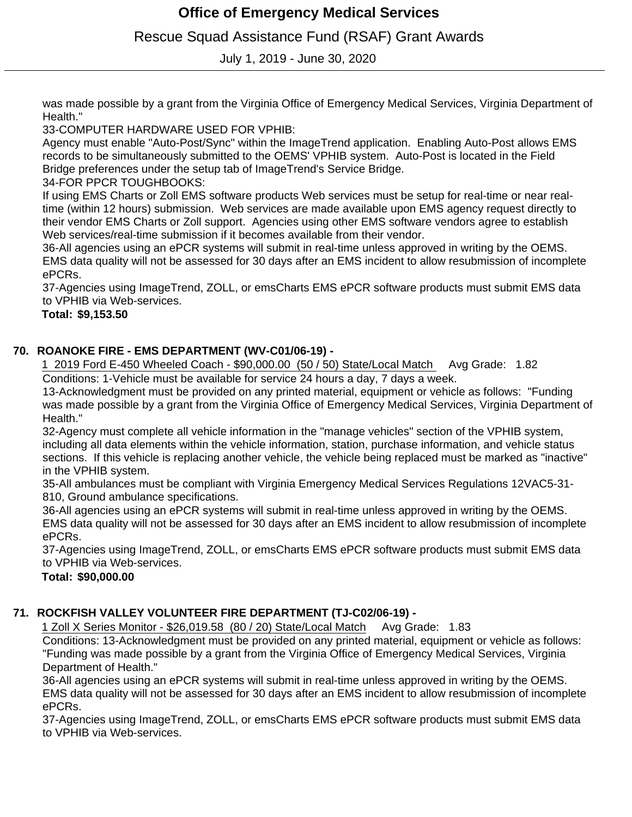# Rescue Squad Assistance Fund (RSAF) Grant Awards

July 1, 2019 - June 30, 2020

was made possible by a grant from the Virginia Office of Emergency Medical Services, Virginia Department of Health."

33-COMPUTER HARDWARE USED FOR VPHIB:

Agency must enable "Auto-Post/Sync" within the ImageTrend application. Enabling Auto-Post allows EMS records to be simultaneously submitted to the OEMS' VPHIB system. Auto-Post is located in the Field Bridge preferences under the setup tab of ImageTrend's Service Bridge.

34-FOR PPCR TOUGHBOOKS:

If using EMS Charts or Zoll EMS software products Web services must be setup for real-time or near realtime (within 12 hours) submission. Web services are made available upon EMS agency request directly to their vendor EMS Charts or Zoll support. Agencies using other EMS software vendors agree to establish Web services/real-time submission if it becomes available from their vendor.

36-All agencies using an ePCR systems will submit in real-time unless approved in writing by the OEMS. EMS data quality will not be assessed for 30 days after an EMS incident to allow resubmission of incomplete ePCRs.

37-Agencies using ImageTrend, ZOLL, or emsCharts EMS ePCR software products must submit EMS data to VPHIB via Web-services.

 **\$9,153.50 Total:**

### **ROANOKE FIRE - EMS DEPARTMENT (WV-C01/06-19) - 70.**

1 2019 Ford E-450 Wheeled Coach - \$90,000.00 (50 / 50) State/Local Match Avg Grade: 1.82 Conditions: 1-Vehicle must be available for service 24 hours a day, 7 days a week.

13-Acknowledgment must be provided on any printed material, equipment or vehicle as follows: "Funding was made possible by a grant from the Virginia Office of Emergency Medical Services, Virginia Department of Health."

32-Agency must complete all vehicle information in the "manage vehicles" section of the VPHIB system, including all data elements within the vehicle information, station, purchase information, and vehicle status sections. If this vehicle is replacing another vehicle, the vehicle being replaced must be marked as "inactive" in the VPHIB system.

35-All ambulances must be compliant with Virginia Emergency Medical Services Regulations 12VAC5-31- 810, Ground ambulance specifications.

36-All agencies using an ePCR systems will submit in real-time unless approved in writing by the OEMS. EMS data quality will not be assessed for 30 days after an EMS incident to allow resubmission of incomplete ePCRs.

37-Agencies using ImageTrend, ZOLL, or emsCharts EMS ePCR software products must submit EMS data to VPHIB via Web-services.

 **\$90,000.00 Total:**

## **ROCKFISH VALLEY VOLUNTEER FIRE DEPARTMENT (TJ-C02/06-19) - 71.**

1 Zoll X Series Monitor - \$26,019.58 (80 / 20) State/Local Match Avg Grade: 1.83

Conditions: 13-Acknowledgment must be provided on any printed material, equipment or vehicle as follows: "Funding was made possible by a grant from the Virginia Office of Emergency Medical Services, Virginia Department of Health."

36-All agencies using an ePCR systems will submit in real-time unless approved in writing by the OEMS. EMS data quality will not be assessed for 30 days after an EMS incident to allow resubmission of incomplete ePCRs.

37-Agencies using ImageTrend, ZOLL, or emsCharts EMS ePCR software products must submit EMS data to VPHIB via Web-services.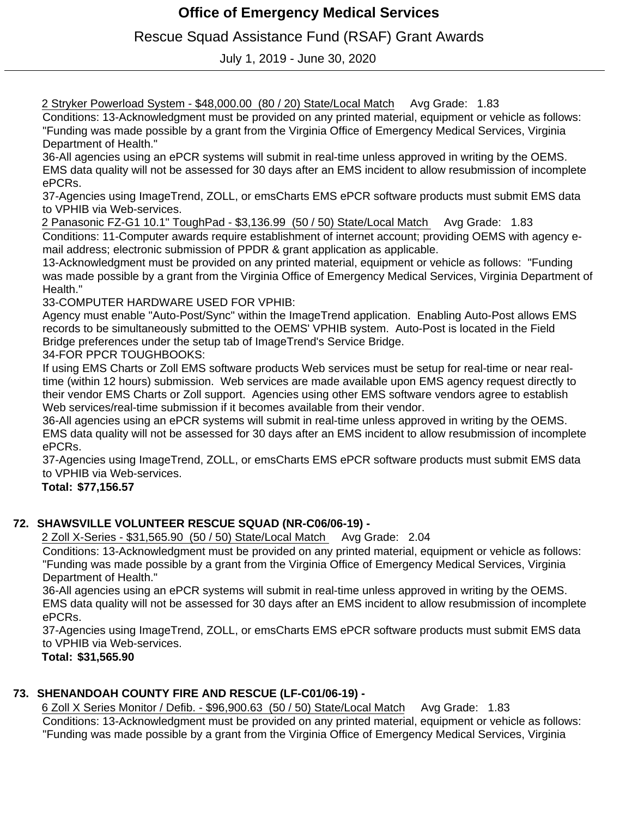# Rescue Squad Assistance Fund (RSAF) Grant Awards

July 1, 2019 - June 30, 2020

2 Stryker Powerload System - \$48,000.00 (80 / 20) State/Local Match Avg Grade: 1.83 2 Panasonic FZ-G1 10.1" ToughPad - \$3,136.99 (50 / 50) State/Local Match Avg Grade: 1.83 Conditions: 13-Acknowledgment must be provided on any printed material, equipment or vehicle as follows: "Funding was made possible by a grant from the Virginia Office of Emergency Medical Services, Virginia Department of Health." 36-All agencies using an ePCR systems will submit in real-time unless approved in writing by the OEMS. EMS data quality will not be assessed for 30 days after an EMS incident to allow resubmission of incomplete ePCRs. 37-Agencies using ImageTrend, ZOLL, or emsCharts EMS ePCR software products must submit EMS data to VPHIB via Web-services. Conditions: 11-Computer awards require establishment of internet account; providing OEMS with agency email address; electronic submission of PPDR & grant application as applicable. 13-Acknowledgment must be provided on any printed material, equipment or vehicle as follows: "Funding was made possible by a grant from the Virginia Office of Emergency Medical Services, Virginia Department of Health." 33-COMPUTER HARDWARE USED FOR VPHIB:

Agency must enable "Auto-Post/Sync" within the ImageTrend application. Enabling Auto-Post allows EMS records to be simultaneously submitted to the OEMS' VPHIB system. Auto-Post is located in the Field Bridge preferences under the setup tab of ImageTrend's Service Bridge.

34-FOR PPCR TOUGHBOOKS:

If using EMS Charts or Zoll EMS software products Web services must be setup for real-time or near realtime (within 12 hours) submission. Web services are made available upon EMS agency request directly to their vendor EMS Charts or Zoll support. Agencies using other EMS software vendors agree to establish Web services/real-time submission if it becomes available from their vendor.

36-All agencies using an ePCR systems will submit in real-time unless approved in writing by the OEMS. EMS data quality will not be assessed for 30 days after an EMS incident to allow resubmission of incomplete ePCRs.

37-Agencies using ImageTrend, ZOLL, or emsCharts EMS ePCR software products must submit EMS data to VPHIB via Web-services.

 **\$77,156.57 Total:**

### **SHAWSVILLE VOLUNTEER RESCUE SQUAD (NR-C06/06-19) - 72.**

2 Zoll X-Series - \$31,565.90 (50 / 50) State/Local Match Avg Grade: 2.04

Conditions: 13-Acknowledgment must be provided on any printed material, equipment or vehicle as follows: "Funding was made possible by a grant from the Virginia Office of Emergency Medical Services, Virginia Department of Health."

36-All agencies using an ePCR systems will submit in real-time unless approved in writing by the OEMS. EMS data quality will not be assessed for 30 days after an EMS incident to allow resubmission of incomplete ePCRs.

37-Agencies using ImageTrend, ZOLL, or emsCharts EMS ePCR software products must submit EMS data to VPHIB via Web-services.

 **\$31,565.90 Total:**

### **SHENANDOAH COUNTY FIRE AND RESCUE (LF-C01/06-19) - 73.**

6 Zoll X Series Monitor / Defib. - \$96,900.63 (50 / 50) State/Local Match Avg Grade: 1.83 Conditions: 13-Acknowledgment must be provided on any printed material, equipment or vehicle as follows: "Funding was made possible by a grant from the Virginia Office of Emergency Medical Services, Virginia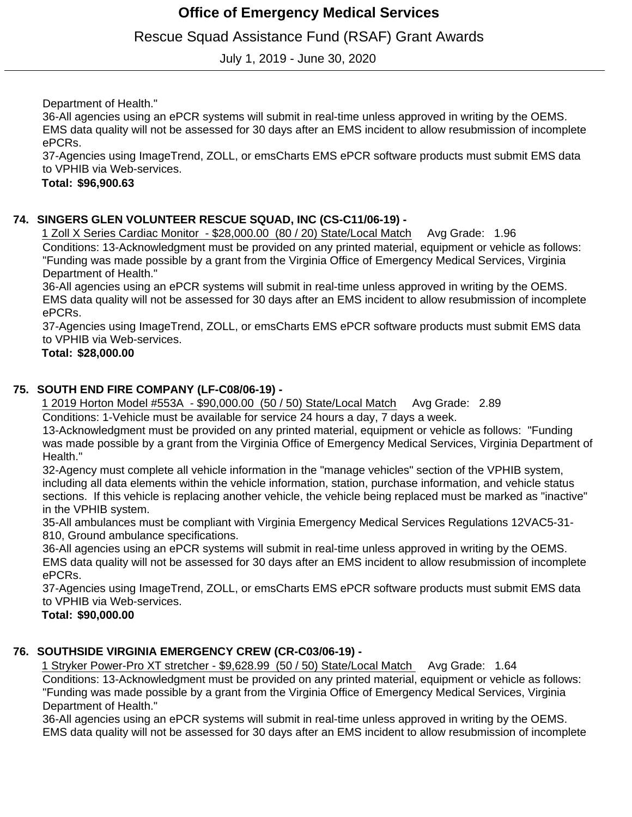# Rescue Squad Assistance Fund (RSAF) Grant Awards

July 1, 2019 - June 30, 2020

Department of Health."

36-All agencies using an ePCR systems will submit in real-time unless approved in writing by the OEMS. EMS data quality will not be assessed for 30 days after an EMS incident to allow resubmission of incomplete ePCRs.

37-Agencies using ImageTrend, ZOLL, or emsCharts EMS ePCR software products must submit EMS data to VPHIB via Web-services.

#### **\$96,900.63 Total:**

### **SINGERS GLEN VOLUNTEER RESCUE SQUAD, INC (CS-C11/06-19) - 74.**

1 Zoll X Series Cardiac Monitor - \$28,000.00 (80 / 20) State/Local Match Avg Grade: 1.96 Conditions: 13-Acknowledgment must be provided on any printed material, equipment or vehicle as follows: "Funding was made possible by a grant from the Virginia Office of Emergency Medical Services, Virginia Department of Health."

36-All agencies using an ePCR systems will submit in real-time unless approved in writing by the OEMS. EMS data quality will not be assessed for 30 days after an EMS incident to allow resubmission of incomplete ePCRs.

37-Agencies using ImageTrend, ZOLL, or emsCharts EMS ePCR software products must submit EMS data to VPHIB via Web-services.

 **\$28,000.00 Total:**

### **SOUTH END FIRE COMPANY (LF-C08/06-19) - 75.**

1 2019 Horton Model #553A - \$90,000.00 (50 / 50) State/Local Match Avg Grade: 2.89 Conditions: 1-Vehicle must be available for service 24 hours a day, 7 days a week.

13-Acknowledgment must be provided on any printed material, equipment or vehicle as follows: "Funding was made possible by a grant from the Virginia Office of Emergency Medical Services, Virginia Department of Health."

32-Agency must complete all vehicle information in the "manage vehicles" section of the VPHIB system, including all data elements within the vehicle information, station, purchase information, and vehicle status sections. If this vehicle is replacing another vehicle, the vehicle being replaced must be marked as "inactive" in the VPHIB system.

35-All ambulances must be compliant with Virginia Emergency Medical Services Regulations 12VAC5-31- 810, Ground ambulance specifications.

36-All agencies using an ePCR systems will submit in real-time unless approved in writing by the OEMS. EMS data quality will not be assessed for 30 days after an EMS incident to allow resubmission of incomplete ePCRs.

37-Agencies using ImageTrend, ZOLL, or emsCharts EMS ePCR software products must submit EMS data to VPHIB via Web-services.

### **\$90,000.00 Total:**

## **SOUTHSIDE VIRGINIA EMERGENCY CREW (CR-C03/06-19) - 76.**

1 Stryker Power-Pro XT stretcher - \$9,628.99 (50 / 50) State/Local Match Avg Grade: 1.64 Conditions: 13-Acknowledgment must be provided on any printed material, equipment or vehicle as follows: "Funding was made possible by a grant from the Virginia Office of Emergency Medical Services, Virginia Department of Health."

36-All agencies using an ePCR systems will submit in real-time unless approved in writing by the OEMS. EMS data quality will not be assessed for 30 days after an EMS incident to allow resubmission of incomplete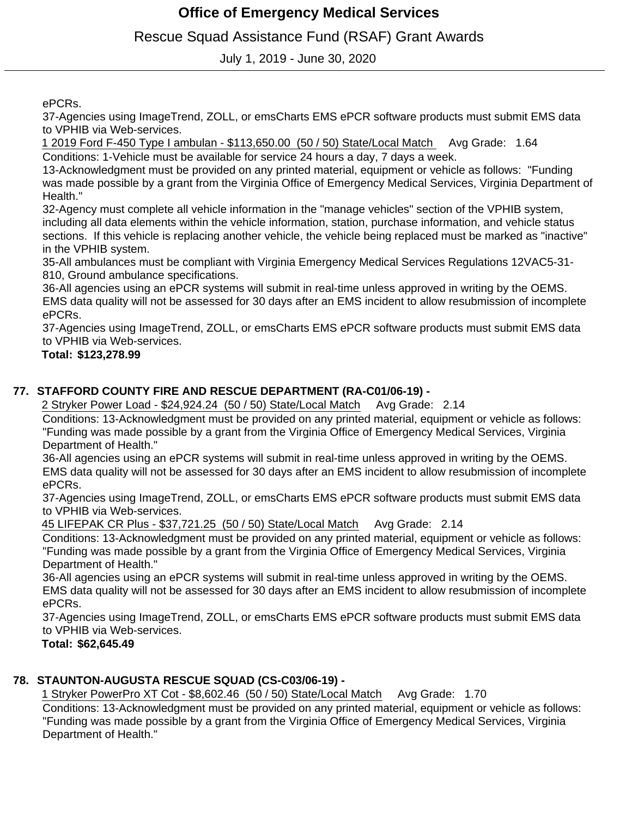# Rescue Squad Assistance Fund (RSAF) Grant Awards

July 1, 2019 - June 30, 2020

ePCRs.

37-Agencies using ImageTrend, ZOLL, or emsCharts EMS ePCR software products must submit EMS data to VPHIB via Web-services.

1 2019 Ford F-450 Type I ambulan - \$113,650.00 (50 / 50) State/Local Match Avg Grade: 1.64 Conditions: 1-Vehicle must be available for service 24 hours a day, 7 days a week.

13-Acknowledgment must be provided on any printed material, equipment or vehicle as follows: "Funding was made possible by a grant from the Virginia Office of Emergency Medical Services, Virginia Department of Health."

32-Agency must complete all vehicle information in the "manage vehicles" section of the VPHIB system, including all data elements within the vehicle information, station, purchase information, and vehicle status sections. If this vehicle is replacing another vehicle, the vehicle being replaced must be marked as "inactive" in the VPHIB system.

35-All ambulances must be compliant with Virginia Emergency Medical Services Regulations 12VAC5-31- 810, Ground ambulance specifications.

36-All agencies using an ePCR systems will submit in real-time unless approved in writing by the OEMS. EMS data quality will not be assessed for 30 days after an EMS incident to allow resubmission of incomplete ePCRs.

37-Agencies using ImageTrend, ZOLL, or emsCharts EMS ePCR software products must submit EMS data to VPHIB via Web-services.

### **\$123,278.99 Total:**

### **STAFFORD COUNTY FIRE AND RESCUE DEPARTMENT (RA-C01/06-19) - 77.**

2 Stryker Power Load - \$24,924.24 (50 / 50) State/Local Match Avg Grade: 2.14

Conditions: 13-Acknowledgment must be provided on any printed material, equipment or vehicle as follows: "Funding was made possible by a grant from the Virginia Office of Emergency Medical Services, Virginia Department of Health."

36-All agencies using an ePCR systems will submit in real-time unless approved in writing by the OEMS. EMS data quality will not be assessed for 30 days after an EMS incident to allow resubmission of incomplete ePCRs.

37-Agencies using ImageTrend, ZOLL, or emsCharts EMS ePCR software products must submit EMS data to VPHIB via Web-services.

45 LIFEPAK CR Plus - \$37,721.25 (50 / 50) State/Local Match Avg Grade: 2.14

Conditions: 13-Acknowledgment must be provided on any printed material, equipment or vehicle as follows: "Funding was made possible by a grant from the Virginia Office of Emergency Medical Services, Virginia Department of Health."

36-All agencies using an ePCR systems will submit in real-time unless approved in writing by the OEMS. EMS data quality will not be assessed for 30 days after an EMS incident to allow resubmission of incomplete ePCRs.

37-Agencies using ImageTrend, ZOLL, or emsCharts EMS ePCR software products must submit EMS data to VPHIB via Web-services.

### **\$62,645.49 Total:**

### **STAUNTON-AUGUSTA RESCUE SQUAD (CS-C03/06-19) - 78.**

1 Stryker PowerPro XT Cot - \$8,602.46 (50 / 50) State/Local Match Avg Grade: 1.70

Conditions: 13-Acknowledgment must be provided on any printed material, equipment or vehicle as follows: "Funding was made possible by a grant from the Virginia Office of Emergency Medical Services, Virginia Department of Health."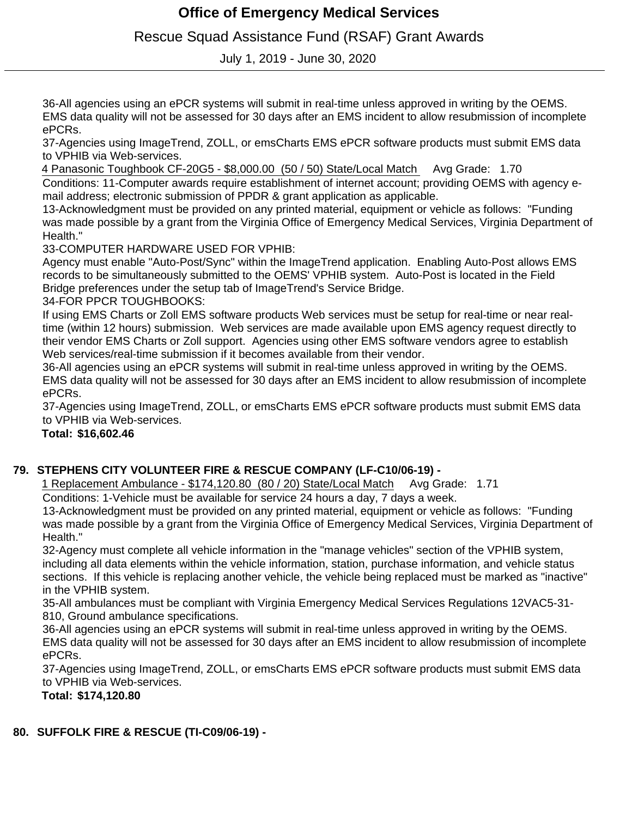Rescue Squad Assistance Fund (RSAF) Grant Awards

July 1, 2019 - June 30, 2020

36-All agencies using an ePCR systems will submit in real-time unless approved in writing by the OEMS. EMS data quality will not be assessed for 30 days after an EMS incident to allow resubmission of incomplete ePCRs.

37-Agencies using ImageTrend, ZOLL, or emsCharts EMS ePCR software products must submit EMS data to VPHIB via Web-services.

4 Panasonic Toughbook CF-20G5 - \$8,000.00 (50 / 50) State/Local Match Avg Grade: 1.70 Conditions: 11-Computer awards require establishment of internet account; providing OEMS with agency e-

mail address; electronic submission of PPDR & grant application as applicable.

13-Acknowledgment must be provided on any printed material, equipment or vehicle as follows: "Funding was made possible by a grant from the Virginia Office of Emergency Medical Services, Virginia Department of Health."

33-COMPUTER HARDWARE USED FOR VPHIB:

Agency must enable "Auto-Post/Sync" within the ImageTrend application. Enabling Auto-Post allows EMS records to be simultaneously submitted to the OEMS' VPHIB system. Auto-Post is located in the Field Bridge preferences under the setup tab of ImageTrend's Service Bridge.

34-FOR PPCR TOUGHBOOKS:

If using EMS Charts or Zoll EMS software products Web services must be setup for real-time or near realtime (within 12 hours) submission. Web services are made available upon EMS agency request directly to their vendor EMS Charts or Zoll support. Agencies using other EMS software vendors agree to establish Web services/real-time submission if it becomes available from their vendor.

36-All agencies using an ePCR systems will submit in real-time unless approved in writing by the OEMS. EMS data quality will not be assessed for 30 days after an EMS incident to allow resubmission of incomplete ePCRs.

37-Agencies using ImageTrend, ZOLL, or emsCharts EMS ePCR software products must submit EMS data to VPHIB via Web-services.

 **\$16,602.46 Total:**

### **STEPHENS CITY VOLUNTEER FIRE & RESCUE COMPANY (LF-C10/06-19) - 79.**

1 Replacement Ambulance - \$174,120.80 (80 / 20) State/Local Match Avg Grade: 1.71

Conditions: 1-Vehicle must be available for service 24 hours a day, 7 days a week.

13-Acknowledgment must be provided on any printed material, equipment or vehicle as follows: "Funding was made possible by a grant from the Virginia Office of Emergency Medical Services, Virginia Department of Health."

32-Agency must complete all vehicle information in the "manage vehicles" section of the VPHIB system, including all data elements within the vehicle information, station, purchase information, and vehicle status sections. If this vehicle is replacing another vehicle, the vehicle being replaced must be marked as "inactive" in the VPHIB system.

35-All ambulances must be compliant with Virginia Emergency Medical Services Regulations 12VAC5-31- 810, Ground ambulance specifications.

36-All agencies using an ePCR systems will submit in real-time unless approved in writing by the OEMS. EMS data quality will not be assessed for 30 days after an EMS incident to allow resubmission of incomplete ePCRs.

37-Agencies using ImageTrend, ZOLL, or emsCharts EMS ePCR software products must submit EMS data to VPHIB via Web-services.

 **\$174,120.80 Total:**

## **SUFFOLK FIRE & RESCUE (TI-C09/06-19) - 80.**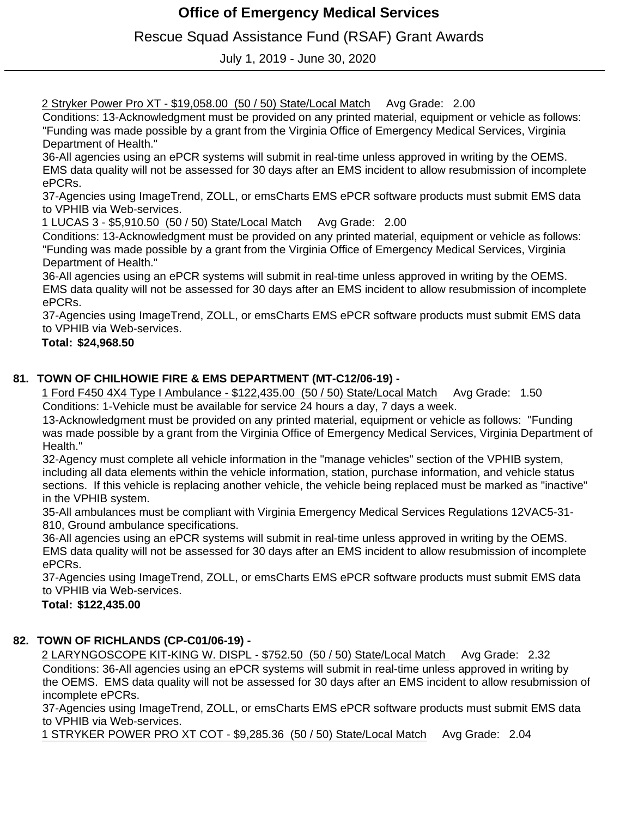Rescue Squad Assistance Fund (RSAF) Grant Awards

July 1, 2019 - June 30, 2020

2 Stryker Power Pro XT - \$19,058.00 (50 / 50) State/Local Match Avg Grade: 2.00

Conditions: 13-Acknowledgment must be provided on any printed material, equipment or vehicle as follows: "Funding was made possible by a grant from the Virginia Office of Emergency Medical Services, Virginia Department of Health."

36-All agencies using an ePCR systems will submit in real-time unless approved in writing by the OEMS. EMS data quality will not be assessed for 30 days after an EMS incident to allow resubmission of incomplete ePCRs.

37-Agencies using ImageTrend, ZOLL, or emsCharts EMS ePCR software products must submit EMS data to VPHIB via Web-services.

1 LUCAS 3 - \$5,910.50 (50 / 50) State/Local Match Avg Grade: 2.00

Conditions: 13-Acknowledgment must be provided on any printed material, equipment or vehicle as follows: "Funding was made possible by a grant from the Virginia Office of Emergency Medical Services, Virginia Department of Health."

36-All agencies using an ePCR systems will submit in real-time unless approved in writing by the OEMS. EMS data quality will not be assessed for 30 days after an EMS incident to allow resubmission of incomplete ePCRs.

37-Agencies using ImageTrend, ZOLL, or emsCharts EMS ePCR software products must submit EMS data to VPHIB via Web-services.

 **\$24,968.50 Total:**

### **TOWN OF CHILHOWIE FIRE & EMS DEPARTMENT (MT-C12/06-19) - 81.**

1 Ford F450 4X4 Type I Ambulance - \$122,435.00 (50 / 50) State/Local Match Avg Grade: 1.50 Conditions: 1-Vehicle must be available for service 24 hours a day, 7 days a week.

13-Acknowledgment must be provided on any printed material, equipment or vehicle as follows: "Funding was made possible by a grant from the Virginia Office of Emergency Medical Services, Virginia Department of Health."

32-Agency must complete all vehicle information in the "manage vehicles" section of the VPHIB system, including all data elements within the vehicle information, station, purchase information, and vehicle status sections. If this vehicle is replacing another vehicle, the vehicle being replaced must be marked as "inactive" in the VPHIB system.

35-All ambulances must be compliant with Virginia Emergency Medical Services Regulations 12VAC5-31- 810, Ground ambulance specifications.

36-All agencies using an ePCR systems will submit in real-time unless approved in writing by the OEMS. EMS data quality will not be assessed for 30 days after an EMS incident to allow resubmission of incomplete ePCRs.

37-Agencies using ImageTrend, ZOLL, or emsCharts EMS ePCR software products must submit EMS data to VPHIB via Web-services.

 **\$122,435.00 Total:**

## **TOWN OF RICHLANDS (CP-C01/06-19) - 82.**

2 LARYNGOSCOPE KIT-KING W. DISPL - \$752.50 (50 / 50) State/Local Match Avg Grade: 2.32 Conditions: 36-All agencies using an ePCR systems will submit in real-time unless approved in writing by the OEMS. EMS data quality will not be assessed for 30 days after an EMS incident to allow resubmission of incomplete ePCRs.

37-Agencies using ImageTrend, ZOLL, or emsCharts EMS ePCR software products must submit EMS data to VPHIB via Web-services.

1 STRYKER POWER PRO XT COT - \$9,285.36 (50 / 50) State/Local Match Avg Grade: 2.04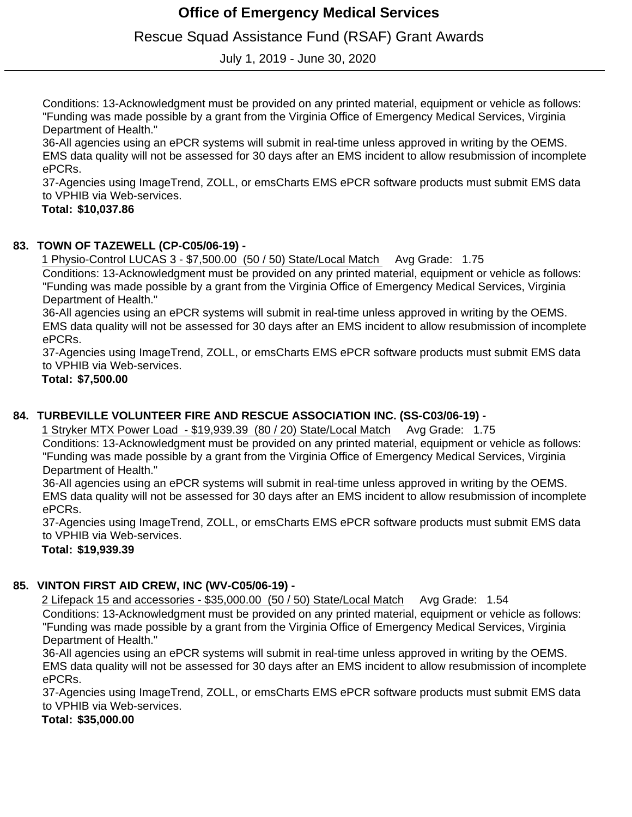Rescue Squad Assistance Fund (RSAF) Grant Awards

July 1, 2019 - June 30, 2020

Conditions: 13-Acknowledgment must be provided on any printed material, equipment or vehicle as follows: "Funding was made possible by a grant from the Virginia Office of Emergency Medical Services, Virginia Department of Health."

36-All agencies using an ePCR systems will submit in real-time unless approved in writing by the OEMS. EMS data quality will not be assessed for 30 days after an EMS incident to allow resubmission of incomplete ePCRs.

37-Agencies using ImageTrend, ZOLL, or emsCharts EMS ePCR software products must submit EMS data to VPHIB via Web-services.

 **\$10,037.86 Total:**

### **TOWN OF TAZEWELL (CP-C05/06-19) - 83.**

1 Physio-Control LUCAS 3 - \$7,500.00 (50 / 50) State/Local Match Avg Grade: 1.75

Conditions: 13-Acknowledgment must be provided on any printed material, equipment or vehicle as follows: "Funding was made possible by a grant from the Virginia Office of Emergency Medical Services, Virginia Department of Health."

36-All agencies using an ePCR systems will submit in real-time unless approved in writing by the OEMS. EMS data quality will not be assessed for 30 days after an EMS incident to allow resubmission of incomplete ePCRs.

37-Agencies using ImageTrend, ZOLL, or emsCharts EMS ePCR software products must submit EMS data to VPHIB via Web-services.

 **\$7,500.00 Total:**

### **TURBEVILLE VOLUNTEER FIRE AND RESCUE ASSOCIATION INC. (SS-C03/06-19) - 84.**

1 Stryker MTX Power Load - \$19,939.39 (80 / 20) State/Local Match Avg Grade: 1.75

Conditions: 13-Acknowledgment must be provided on any printed material, equipment or vehicle as follows: "Funding was made possible by a grant from the Virginia Office of Emergency Medical Services, Virginia Department of Health."

36-All agencies using an ePCR systems will submit in real-time unless approved in writing by the OEMS. EMS data quality will not be assessed for 30 days after an EMS incident to allow resubmission of incomplete ePCRs.

37-Agencies using ImageTrend, ZOLL, or emsCharts EMS ePCR software products must submit EMS data to VPHIB via Web-services.

 **\$19,939.39 Total:**

## **VINTON FIRST AID CREW, INC (WV-C05/06-19) - 85.**

2 Lifepack 15 and accessories - \$35,000.00 (50 / 50) State/Local Match Avg Grade: 1.54 Conditions: 13-Acknowledgment must be provided on any printed material, equipment or vehicle as follows: "Funding was made possible by a grant from the Virginia Office of Emergency Medical Services, Virginia Department of Health."

36-All agencies using an ePCR systems will submit in real-time unless approved in writing by the OEMS. EMS data quality will not be assessed for 30 days after an EMS incident to allow resubmission of incomplete ePCRs.

37-Agencies using ImageTrend, ZOLL, or emsCharts EMS ePCR software products must submit EMS data to VPHIB via Web-services.

 **\$35,000.00 Total:**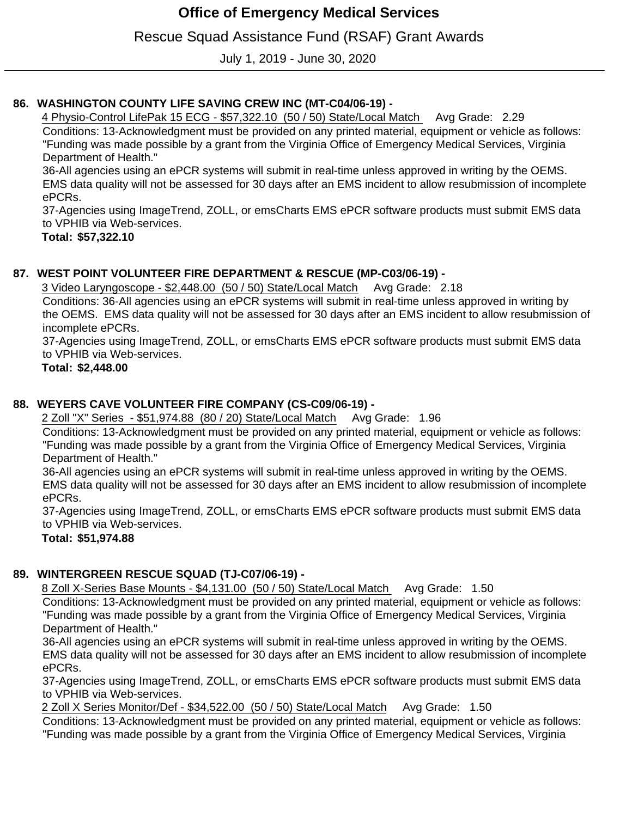Rescue Squad Assistance Fund (RSAF) Grant Awards

July 1, 2019 - June 30, 2020

### **WASHINGTON COUNTY LIFE SAVING CREW INC (MT-C04/06-19) - 86.**

4 Physio-Control LifePak 15 ECG - \$57,322.10 (50 / 50) State/Local Match Avg Grade: 2.29

Conditions: 13-Acknowledgment must be provided on any printed material, equipment or vehicle as follows: "Funding was made possible by a grant from the Virginia Office of Emergency Medical Services, Virginia Department of Health."

36-All agencies using an ePCR systems will submit in real-time unless approved in writing by the OEMS. EMS data quality will not be assessed for 30 days after an EMS incident to allow resubmission of incomplete ePCRs.

37-Agencies using ImageTrend, ZOLL, or emsCharts EMS ePCR software products must submit EMS data to VPHIB via Web-services.

 **\$57,322.10 Total:**

#### **WEST POINT VOLUNTEER FIRE DEPARTMENT & RESCUE (MP-C03/06-19) - 87.**

3 Video Laryngoscope - \$2,448.00 (50 / 50) State/Local Match Avg Grade: 2.18

Conditions: 36-All agencies using an ePCR systems will submit in real-time unless approved in writing by the OEMS. EMS data quality will not be assessed for 30 days after an EMS incident to allow resubmission of incomplete ePCRs.

37-Agencies using ImageTrend, ZOLL, or emsCharts EMS ePCR software products must submit EMS data to VPHIB via Web-services.

 **\$2,448.00 Total:**

#### **WEYERS CAVE VOLUNTEER FIRE COMPANY (CS-C09/06-19) - 88.**

2 Zoll "X" Series - \$51,974.88 (80 / 20) State/Local Match Avg Grade: 1.96 Conditions: 13-Acknowledgment must be provided on any printed material, equipment or vehicle as follows: "Funding was made possible by a grant from the Virginia Office of Emergency Medical Services, Virginia

Department of Health." 36-All agencies using an ePCR systems will submit in real-time unless approved in writing by the OEMS.

EMS data quality will not be assessed for 30 days after an EMS incident to allow resubmission of incomplete ePCRs.

37-Agencies using ImageTrend, ZOLL, or emsCharts EMS ePCR software products must submit EMS data to VPHIB via Web-services.

 **\$51,974.88 Total:**

### **WINTERGREEN RESCUE SQUAD (TJ-C07/06-19) - 89.**

8 Zoll X-Series Base Mounts - \$4,131.00 (50 / 50) State/Local Match Avg Grade: 1.50

Conditions: 13-Acknowledgment must be provided on any printed material, equipment or vehicle as follows: "Funding was made possible by a grant from the Virginia Office of Emergency Medical Services, Virginia Department of Health."

36-All agencies using an ePCR systems will submit in real-time unless approved in writing by the OEMS. EMS data quality will not be assessed for 30 days after an EMS incident to allow resubmission of incomplete ePCRs.

37-Agencies using ImageTrend, ZOLL, or emsCharts EMS ePCR software products must submit EMS data to VPHIB via Web-services.

2 Zoll X Series Monitor/Def - \$34,522.00 (50 / 50) State/Local Match Avg Grade: 1.50

Conditions: 13-Acknowledgment must be provided on any printed material, equipment or vehicle as follows: "Funding was made possible by a grant from the Virginia Office of Emergency Medical Services, Virginia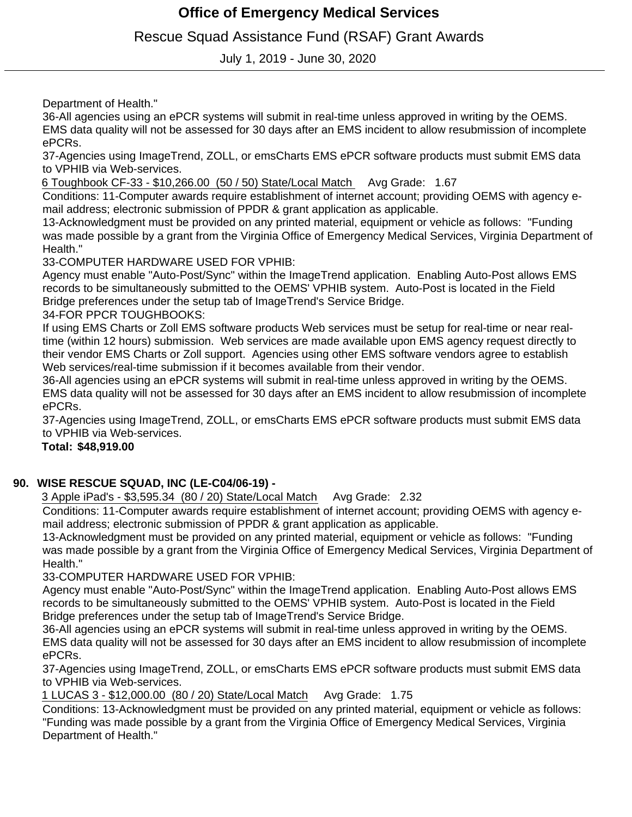# Rescue Squad Assistance Fund (RSAF) Grant Awards

July 1, 2019 - June 30, 2020

Department of Health."

36-All agencies using an ePCR systems will submit in real-time unless approved in writing by the OEMS. EMS data quality will not be assessed for 30 days after an EMS incident to allow resubmission of incomplete ePCRs.

37-Agencies using ImageTrend, ZOLL, or emsCharts EMS ePCR software products must submit EMS data to VPHIB via Web-services.

6 Toughbook CF-33 - \$10,266.00 (50 / 50) State/Local Match Avg Grade: 1.67

Conditions: 11-Computer awards require establishment of internet account; providing OEMS with agency email address; electronic submission of PPDR & grant application as applicable.

13-Acknowledgment must be provided on any printed material, equipment or vehicle as follows: "Funding was made possible by a grant from the Virginia Office of Emergency Medical Services, Virginia Department of Health."

33-COMPUTER HARDWARE USED FOR VPHIB:

Agency must enable "Auto-Post/Sync" within the ImageTrend application. Enabling Auto-Post allows EMS records to be simultaneously submitted to the OEMS' VPHIB system. Auto-Post is located in the Field Bridge preferences under the setup tab of ImageTrend's Service Bridge.

34-FOR PPCR TOUGHBOOKS:

If using EMS Charts or Zoll EMS software products Web services must be setup for real-time or near realtime (within 12 hours) submission. Web services are made available upon EMS agency request directly to their vendor EMS Charts or Zoll support. Agencies using other EMS software vendors agree to establish Web services/real-time submission if it becomes available from their vendor.

36-All agencies using an ePCR systems will submit in real-time unless approved in writing by the OEMS. EMS data quality will not be assessed for 30 days after an EMS incident to allow resubmission of incomplete ePCRs.

37-Agencies using ImageTrend, ZOLL, or emsCharts EMS ePCR software products must submit EMS data to VPHIB via Web-services.

**Total: \$48,919.00**

### **WISE RESCUE SQUAD, INC (LE-C04/06-19) - 90.**

3 Apple iPad's - \$3,595.34 (80 / 20) State/Local Match Avg Grade: 2.32

Conditions: 11-Computer awards require establishment of internet account; providing OEMS with agency email address; electronic submission of PPDR & grant application as applicable.

13-Acknowledgment must be provided on any printed material, equipment or vehicle as follows: "Funding was made possible by a grant from the Virginia Office of Emergency Medical Services, Virginia Department of Health."

33-COMPUTER HARDWARE USED FOR VPHIB:

Agency must enable "Auto-Post/Sync" within the ImageTrend application. Enabling Auto-Post allows EMS records to be simultaneously submitted to the OEMS' VPHIB system. Auto-Post is located in the Field Bridge preferences under the setup tab of ImageTrend's Service Bridge.

36-All agencies using an ePCR systems will submit in real-time unless approved in writing by the OEMS. EMS data quality will not be assessed for 30 days after an EMS incident to allow resubmission of incomplete ePCRs.

37-Agencies using ImageTrend, ZOLL, or emsCharts EMS ePCR software products must submit EMS data to VPHIB via Web-services.

1 LUCAS 3 - \$12,000.00 (80 / 20) State/Local Match Avg Grade: 1.75

Conditions: 13-Acknowledgment must be provided on any printed material, equipment or vehicle as follows: "Funding was made possible by a grant from the Virginia Office of Emergency Medical Services, Virginia Department of Health."